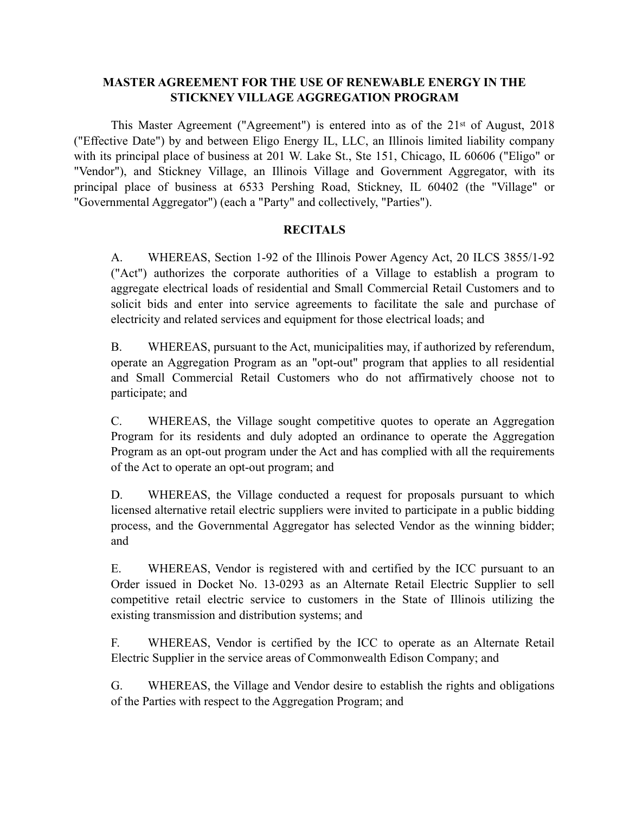# **MASTER AGREEMENT FOR THE USE OF RENEWABLE ENERGY IN THE STICKNEY VILLAGE AGGREGATION PROGRAM**

This Master Agreement ("Agreement") is entered into as of the  $21<sup>st</sup>$  of August, 2018 ("Effective Date") by and between Eligo Energy IL, LLC, an Illinois limited liability company with its principal place of business at 201 W. Lake St., Ste 151, Chicago, IL 60606 ("Eligo" or "Vendor"), and Stickney Village, an Illinois Village and Government Aggregator, with its principal place of business at 6533 Pershing Road, Stickney, IL 60402 (the "Village" or "Governmental Aggregator") (each a "Party" and collectively, "Parties").

# **RECITALS**

A. WHEREAS, Section 1-92 of the Illinois Power Agency Act, 20 ILCS 3855/1-92 ("Act") authorizes the corporate authorities of a Village to establish a program to aggregate electrical loads of residential and Small Commercial Retail Customers and to solicit bids and enter into service agreements to facilitate the sale and purchase of electricity and related services and equipment for those electrical loads; and

B. WHEREAS, pursuant to the Act, municipalities may, if authorized by referendum, operate an Aggregation Program as an "opt-out" program that applies to all residential and Small Commercial Retail Customers who do not affirmatively choose not to participate; and

C. WHEREAS, the Village sought competitive quotes to operate an Aggregation Program for its residents and duly adopted an ordinance to operate the Aggregation Program as an opt-out program under the Act and has complied with all the requirements of the Act to operate an opt-out program; and

D. WHEREAS, the Village conducted a request for proposals pursuant to which licensed alternative retail electric suppliers were invited to participate in a public bidding process, and the Governmental Aggregator has selected Vendor as the winning bidder; and

E. WHEREAS, Vendor is registered with and certified by the ICC pursuant to an Order issued in Docket No. 13-0293 as an Alternate Retail Electric Supplier to sell competitive retail electric service to customers in the State of Illinois utilizing the existing transmission and distribution systems; and

F. WHEREAS, Vendor is certified by the ICC to operate as an Alternate Retail Electric Supplier in the service areas of Commonwealth Edison Company; and

G. WHEREAS, the Village and Vendor desire to establish the rights and obligations of the Parties with respect to the Aggregation Program; and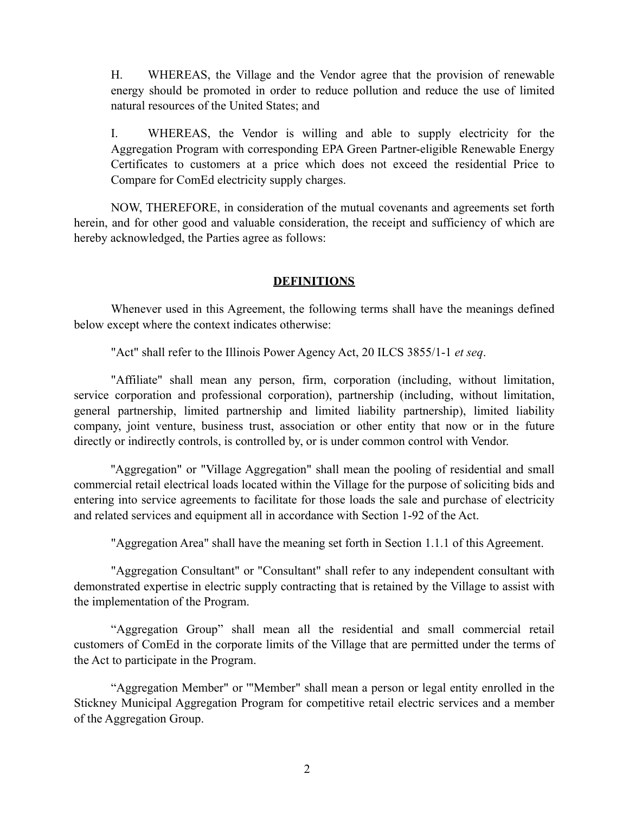H. WHEREAS, the Village and the Vendor agree that the provision of renewable energy should be promoted in order to reduce pollution and reduce the use of limited natural resources of the United States; and

I. WHEREAS, the Vendor is willing and able to supply electricity for the Aggregation Program with corresponding EPA Green Partner-eligible Renewable Energy Certificates to customers at a price which does not exceed the residential Price to Compare for ComEd electricity supply charges.

NOW, THEREFORE, in consideration of the mutual covenants and agreements set forth herein, and for other good and valuable consideration, the receipt and sufficiency of which are hereby acknowledged, the Parties agree as follows:

#### **DEFINITIONS**

Whenever used in this Agreement, the following terms shall have the meanings defined below except where the context indicates otherwise:

"Act" shall refer to the Illinois Power Agency Act, 20 ILCS 3855/1-1 *et seq*.

"Affiliate" shall mean any person, firm, corporation (including, without limitation, service corporation and professional corporation), partnership (including, without limitation, general partnership, limited partnership and limited liability partnership), limited liability company, joint venture, business trust, association or other entity that now or in the future directly or indirectly controls, is controlled by, or is under common control with Vendor.

"Aggregation" or "Village Aggregation" shall mean the pooling of residential and small commercial retail electrical loads located within the Village for the purpose of soliciting bids and entering into service agreements to facilitate for those loads the sale and purchase of electricity and related services and equipment all in accordance with Section 1-92 of the Act.

"Aggregation Area" shall have the meaning set forth in Section 1.1.1 of this Agreement.

"Aggregation Consultant" or "Consultant" shall refer to any independent consultant with demonstrated expertise in electric supply contracting that is retained by the Village to assist with the implementation of the Program.

"Aggregation Group" shall mean all the residential and small commercial retail customers of ComEd in the corporate limits of the Village that are permitted under the terms of the Act to participate in the Program.

"Aggregation Member" or '"Member" shall mean a person or legal entity enrolled in the Stickney Municipal Aggregation Program for competitive retail electric services and a member of the Aggregation Group.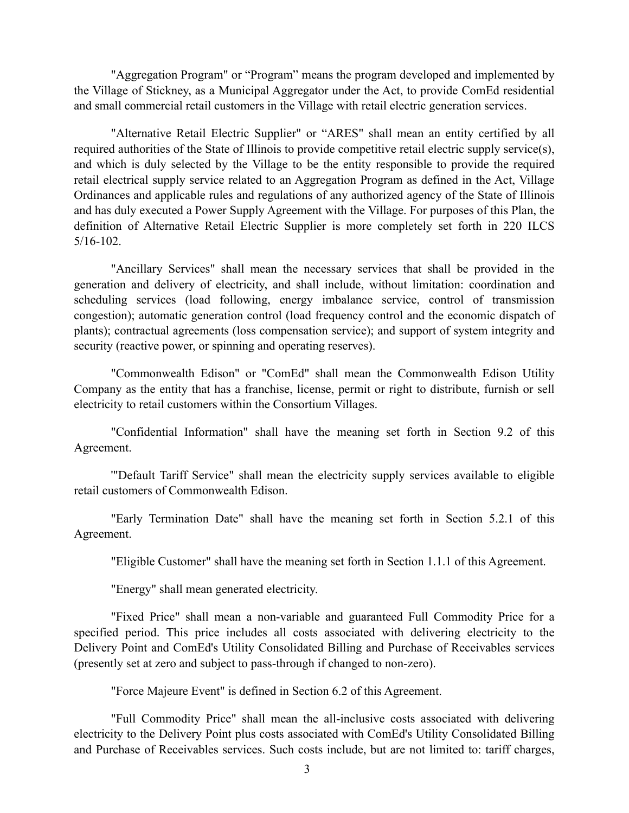"Aggregation Program" or "Program" means the program developed and implemented by the Village of Stickney, as a Municipal Aggregator under the Act, to provide ComEd residential and small commercial retail customers in the Village with retail electric generation services.

"Alternative Retail Electric Supplier" or "ARES" shall mean an entity certified by all required authorities of the State of Illinois to provide competitive retail electric supply service(s), and which is duly selected by the Village to be the entity responsible to provide the required retail electrical supply service related to an Aggregation Program as defined in the Act, Village Ordinances and applicable rules and regulations of any authorized agency of the State of Illinois and has duly executed a Power Supply Agreement with the Village. For purposes of this Plan, the definition of Alternative Retail Electric Supplier is more completely set forth in 220 ILCS 5/16-102.

"Ancillary Services" shall mean the necessary services that shall be provided in the generation and delivery of electricity, and shall include, without limitation: coordination and scheduling services (load following, energy imbalance service, control of transmission congestion); automatic generation control (load frequency control and the economic dispatch of plants); contractual agreements (loss compensation service); and support of system integrity and security (reactive power, or spinning and operating reserves).

"Commonwealth Edison" or "ComEd" shall mean the Commonwealth Edison Utility Company as the entity that has a franchise, license, permit or right to distribute, furnish or sell electricity to retail customers within the Consortium Villages.

"Confidential Information" shall have the meaning set forth in Section 9.2 of this Agreement.

'"Default Tariff Service" shall mean the electricity supply services available to eligible retail customers of Commonwealth Edison.

"Early Termination Date" shall have the meaning set forth in Section 5.2.1 of this Agreement.

"Eligible Customer" shall have the meaning set forth in Section 1.1.1 of this Agreement.

"Energy" shall mean generated electricity.

"Fixed Price" shall mean a non-variable and guaranteed Full Commodity Price for a specified period. This price includes all costs associated with delivering electricity to the Delivery Point and ComEd's Utility Consolidated Billing and Purchase of Receivables services (presently set at zero and subject to pass-through if changed to non-zero).

"Force Majeure Event" is defined in Section 6.2 of this Agreement.

"Full Commodity Price" shall mean the all-inclusive costs associated with delivering electricity to the Delivery Point plus costs associated with ComEd's Utility Consolidated Billing and Purchase of Receivables services. Such costs include, but are not limited to: tariff charges,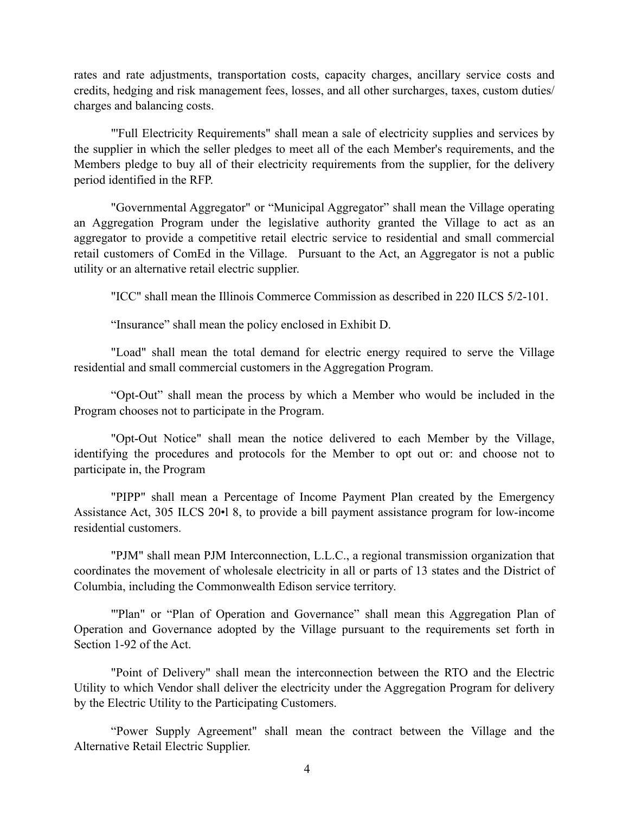rates and rate adjustments, transportation costs, capacity charges, ancillary service costs and credits, hedging and risk management fees, losses, and all other surcharges, taxes, custom duties/ charges and balancing costs.

"'Full Electricity Requirements" shall mean a sale of electricity supplies and services by the supplier in which the seller pledges to meet all of the each Member's requirements, and the Members pledge to buy all of their electricity requirements from the supplier, for the delivery period identified in the RFP.

"Governmental Aggregator" or "Municipal Aggregator" shall mean the Village operating an Aggregation Program under the legislative authority granted the Village to act as an aggregator to provide a competitive retail electric service to residential and small commercial retail customers of ComEd in the Village. Pursuant to the Act, an Aggregator is not a public utility or an alternative retail electric supplier.

"ICC" shall mean the Illinois Commerce Commission as described in 220 ILCS 5/2-101.

"Insurance" shall mean the policy enclosed in Exhibit D.

"Load" shall mean the total demand for electric energy required to serve the Village residential and small commercial customers in the Aggregation Program.

"Opt-Out" shall mean the process by which a Member who would be included in the Program chooses not to participate in the Program.

"Opt-Out Notice" shall mean the notice delivered to each Member by the Village, identifying the procedures and protocols for the Member to opt out or: and choose not to participate in, the Program

"PIPP" shall mean a Percentage of Income Payment Plan created by the Emergency Assistance Act, 305 ILCS 20•l 8, to provide a bill payment assistance program for low-income residential customers.

"PJM" shall mean PJM Interconnection, L.L.C., a regional transmission organization that coordinates the movement of wholesale electricity in all or parts of 13 states and the District of Columbia, including the Commonwealth Edison service territory.

"Plan" or "Plan of Operation and Governance" shall mean this Aggregation Plan of Operation and Governance adopted by the Village pursuant to the requirements set forth in Section 1-92 of the Act.

"Point of Delivery" shall mean the interconnection between the RTO and the Electric Utility to which Vendor shall deliver the electricity under the Aggregation Program for delivery by the Electric Utility to the Participating Customers.

"Power Supply Agreement" shall mean the contract between the Village and the Alternative Retail Electric Supplier.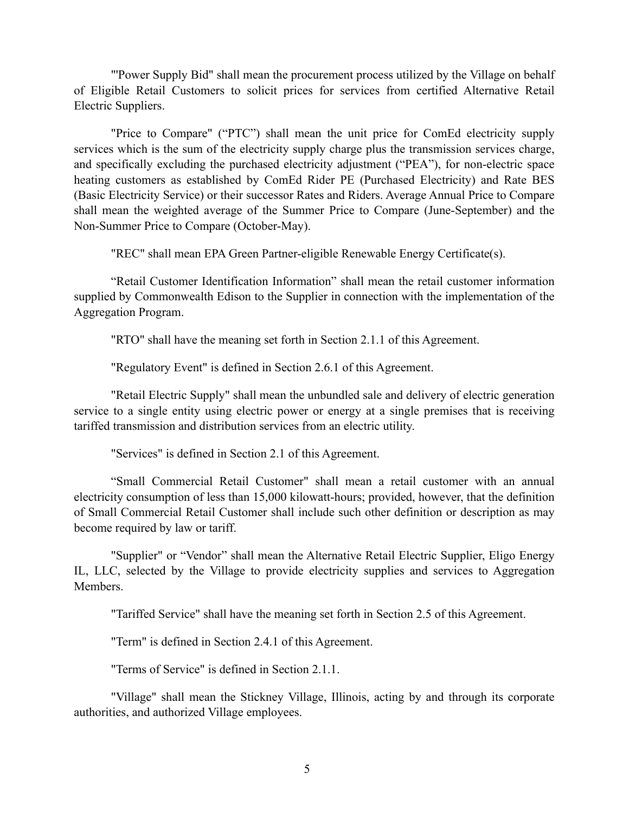"'Power Supply Bid" shall mean the procurement process utilized by the Village on behalf of Eligible Retail Customers to solicit prices for services from certified Alternative Retail Electric Suppliers.

"Price to Compare" ("PTC") shall mean the unit price for ComEd electricity supply services which is the sum of the electricity supply charge plus the transmission services charge, and specifically excluding the purchased electricity adjustment ("PEA"), for non-electric space heating customers as established by ComEd Rider PE (Purchased Electricity) and Rate BES (Basic Electricity Service) or their successor Rates and Riders. Average Annual Price to Compare shall mean the weighted average of the Summer Price to Compare (June-September) and the Non-Summer Price to Compare (October-May).

"REC" shall mean EPA Green Partner-eligible Renewable Energy Certificate(s).

"Retail Customer Identification Information" shall mean the retail customer information supplied by Commonwealth Edison to the Supplier in connection with the implementation of the Aggregation Program.

"RTO" shall have the meaning set forth in Section 2.1.1 of this Agreement.

"Regulatory Event" is defined in Section 2.6.1 of this Agreement.

"Retail Electric Supply" shall mean the unbundled sale and delivery of electric generation service to a single entity using electric power or energy at a single premises that is receiving tariffed transmission and distribution services from an electric utility.

"Services" is defined in Section 2.1 of this Agreement.

"Small Commercial Retail Customer" shall mean a retail customer with an annual electricity consumption of less than 15,000 kilowatt-hours; provided, however, that the definition of Small Commercial Retail Customer shall include such other definition or description as may become required by law or tariff.

"Supplier" or "Vendor" shall mean the Alternative Retail Electric Supplier, Eligo Energy IL, LLC, selected by the Village to provide electricity supplies and services to Aggregation Members.

"Tariffed Service" shall have the meaning set forth in Section 2.5 of this Agreement.

"Term" is defined in Section 2.4.1 of this Agreement.

"Terms of Service" is defined in Section 2.1.1.

"Village" shall mean the Stickney Village, Illinois, acting by and through its corporate authorities, and authorized Village employees.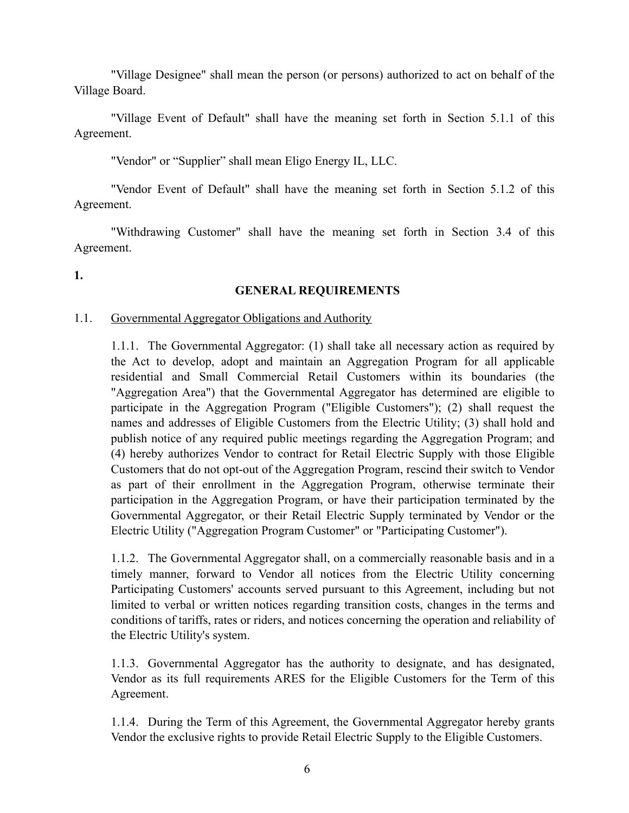"Village Designee" shall mean the person (or persons) authorized to act on behalf of the Village Board.

"Village Event of Default" shall have the meaning set forth in Section 5.1.1 of this Agreement.

"Vendor" or "Supplier" shall mean Eligo Energy IL, LLC.

"Vendor Event of Default" shall have the meaning set forth in Section 5.1.2 of this Agreement.

"Withdrawing Customer" shall have the meaning set forth in Section 3.4 of this Agreement.

**1.**

# **GENERAL REQUIREMENTS**

#### 1.1. Governmental Aggregator Obligations and Authority

1.1.1. The Governmental Aggregator: (1) shall take all necessary action as required by the Act to develop, adopt and maintain an Aggregation Program for all applicable residential and Small Commercial Retail Customers within its boundaries (the "Aggregation Area") that the Governmental Aggregator has determined are eligible to participate in the Aggregation Program ("Eligible Customers"); (2) shall request the names and addresses of Eligible Customers from the Electric Utility; (3) shall hold and publish notice of any required public meetings regarding the Aggregation Program; and (4) hereby authorizes Vendor to contract for Retail Electric Supply with those Eligible Customers that do not opt-out of the Aggregation Program, rescind their switch to Vendor as part of their enrollment in the Aggregation Program, otherwise terminate their participation in the Aggregation Program, or have their participation terminated by the Governmental Aggregator, or their Retail Electric Supply terminated by Vendor or the Electric Utility ("Aggregation Program Customer" or "Participating Customer").

1.1.2. The Governmental Aggregator shall, on a commercially reasonable basis and in a timely manner, forward to Vendor all notices from the Electric Utility concerning Participating Customers' accounts served pursuant to this Agreement, including but not limited to verbal or written notices regarding transition costs, changes in the terms and conditions of tariffs, rates or riders, and notices concerning the operation and reliability of the Electric Utility's system.

1.1.3. Governmental Aggregator has the authority to designate, and has designated, Vendor as its full requirements ARES for the Eligible Customers for the Term of this Agreement.

1.1.4. During the Term of this Agreement, the Governmental Aggregator hereby grants Vendor the exclusive rights to provide Retail Electric Supply to the Eligible Customers.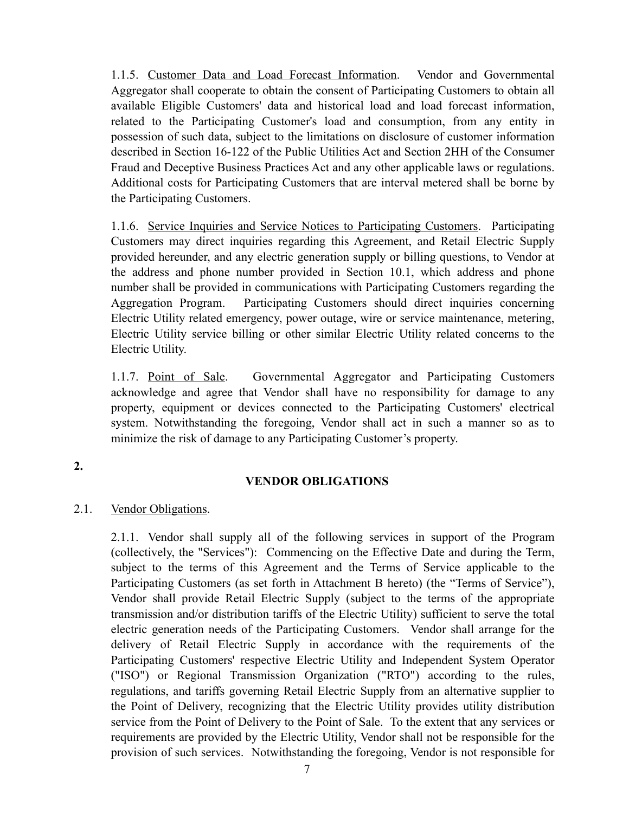1.1.5. Customer Data and Load Forecast Information. Vendor and Governmental Aggregator shall cooperate to obtain the consent of Participating Customers to obtain all available Eligible Customers' data and historical load and load forecast information, related to the Participating Customer's load and consumption, from any entity in possession of such data, subject to the limitations on disclosure of customer information described in Section 16-122 of the Public Utilities Act and Section 2HH of the Consumer Fraud and Deceptive Business Practices Act and any other applicable laws or regulations. Additional costs for Participating Customers that are interval metered shall be borne by the Participating Customers.

1.1.6. Service Inquiries and Service Notices to Participating Customers. Participating Customers may direct inquiries regarding this Agreement, and Retail Electric Supply provided hereunder, and any electric generation supply or billing questions, to Vendor at the address and phone number provided in Section 10.1, which address and phone number shall be provided in communications with Participating Customers regarding the Aggregation Program. Participating Customers should direct inquiries concerning Electric Utility related emergency, power outage, wire or service maintenance, metering, Electric Utility service billing or other similar Electric Utility related concerns to the Electric Utility.

1.1.7. Point of Sale. Governmental Aggregator and Participating Customers acknowledge and agree that Vendor shall have no responsibility for damage to any property, equipment or devices connected to the Participating Customers' electrical system. Notwithstanding the foregoing, Vendor shall act in such a manner so as to minimize the risk of damage to any Participating Customer's property.

# **2.**

# **VENDOR OBLIGATIONS**

# 2.1. Vendor Obligations.

<span id="page-6-0"></span>2.1.1. Vendor shall supply all of the following services in support of the Program (collectively, the "Services"): Commencing on the Effective Date and during the Term, subject to the terms of this Agreement and the Terms of Service applicable to the Participating Customers (as set forth in Attachment B hereto) (the "Terms of Service"), Vendor shall provide Retail Electric Supply (subject to the terms of the appropriate transmission and/or distribution tariffs of the Electric Utility) sufficient to serve the total electric generation needs of the Participating Customers. Vendor shall arrange for the delivery of Retail Electric Supply in accordance with the requirements of the Participating Customers' respective Electric Utility and Independent System Operator ("ISO") or Regional Transmission Organization ("RTO") according to the rules, regulations, and tariffs governing Retail Electric Supply from an alternative supplier to the Point of Delivery, recognizing that the Electric Utility provides utility distribution service from the Point of Delivery to the Point of Sale. To the extent that any services or requirements are provided by the Electric Utility, Vendor shall not be responsible for the provision of such services. Notwithstanding the foregoing, Vendor is not responsible for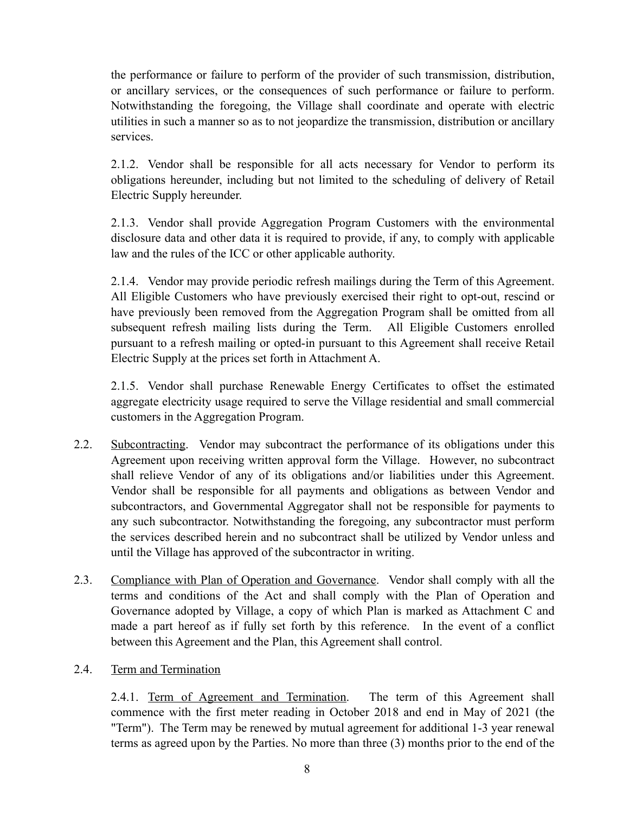the performance or failure to perform of the provider of such transmission, distribution, or ancillary services, or the consequences of such performance or failure to perform. Notwithstanding the foregoing, the Village shall coordinate and operate with electric utilities in such a manner so as to not jeopardize the transmission, distribution or ancillary services.

2.1.2. Vendor shall be responsible for all acts necessary for Vendor to perform its obligations hereunder, including but not limited to the scheduling of delivery of Retail Electric Supply hereunder.

2.1.3. Vendor shall provide Aggregation Program Customers with the environmental disclosure data and other data it is required to provide, if any, to comply with applicable law and the rules of the ICC or other applicable authority.

2.1.4. Vendor may provide periodic refresh mailings during the Term of this Agreement. All Eligible Customers who have previously exercised their right to opt-out, rescind or have previously been removed from the Aggregation Program shall be omitted from all subsequent refresh mailing lists during the Term. All Eligible Customers enrolled pursuant to a refresh mailing or opted-in pursuant to this Agreement shall receive Retail Electric Supply at the prices set forth in Attachment A.

2.1.5. Vendor shall purchase Renewable Energy Certificates to offset the estimated aggregate electricity usage required to serve the Village residential and small commercial customers in the Aggregation Program.

- 2.2. Subcontracting. Vendor may subcontract the performance of its obligations under this Agreement upon receiving written approval form the Village. However, no subcontract shall relieve Vendor of any of its obligations and/or liabilities under this Agreement. Vendor shall be responsible for all payments and obligations as between Vendor and subcontractors, and Governmental Aggregator shall not be responsible for payments to any such subcontractor. Notwithstanding the foregoing, any subcontractor must perform the services described herein and no subcontract shall be utilized by Vendor unless and until the Village has approved of the subcontractor in writing.
- 2.3. Compliance with Plan of Operation and Governance. Vendor shall comply with all the terms and conditions of the Act and shall comply with the Plan of Operation and Governance adopted by Village, a copy of which Plan is marked as Attachment C and made a part hereof as if fully set forth by this reference. In the event of a conflict between this Agreement and the Plan, this Agreement shall control.
- 2.4. Term and Termination

2.4.1. Term of Agreement and Termination. The term of this Agreement shall commence with the first meter reading in October 2018 and end in May of 2021 (the "Term"). The Term may be renewed by mutual agreement for additional 1-3 year renewal terms as agreed upon by the Parties. No more than three (3) months prior to the end of the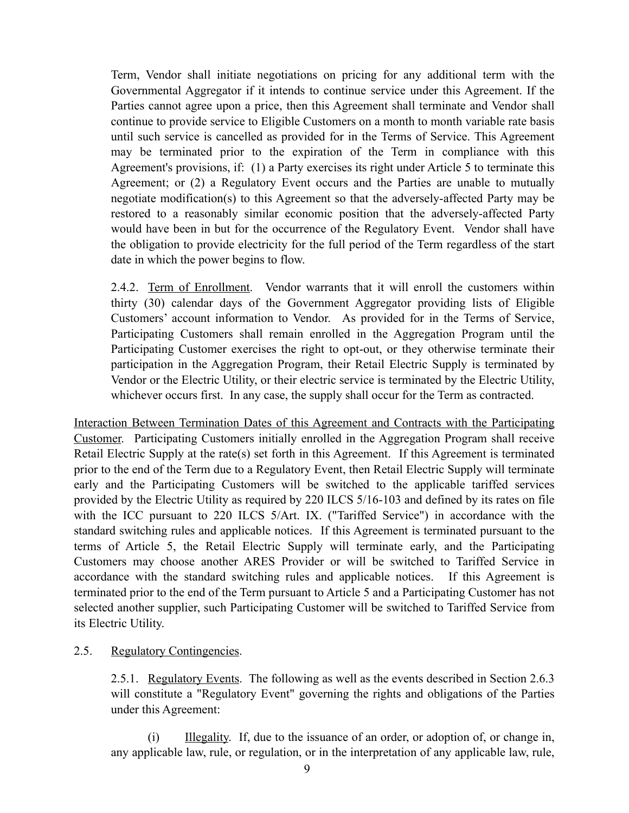Term, Vendor shall initiate negotiations on pricing for any additional term with the Governmental Aggregator if it intends to continue service under this Agreement. If the Parties cannot agree upon a price, then this Agreement shall terminate and Vendor shall continue to provide service to Eligible Customers on a month to month variable rate basis until such service is cancelled as provided for in the Terms of Service. This Agreement may be terminated prior to the expiration of the Term in compliance with this Agreement's provisions, if: (1) a Party exercises its right under Article [5](#page-11-0) to terminate this Agreement; or (2) a Regulatory Event occurs and the Parties are unable to mutually negotiate modification(s) to this Agreement so that the adversely-affected Party may be restored to a reasonably similar economic position that the adversely-affected Party would have been in but for the occurrence of the Regulatory Event. Vendor shall have the obligation to provide electricity for the full period of the Term regardless of the start date in which the power begins to flow.

2.4.2. Term of Enrollment. Vendor warrants that it will enroll the customers within thirty (30) calendar days of the Government Aggregator providing lists of Eligible Customers' account information to Vendor. As provided for in the Terms of Service, Participating Customers shall remain enrolled in the Aggregation Program until the Participating Customer exercises the right to opt-out, or they otherwise terminate their participation in the Aggregation Program, their Retail Electric Supply is terminated by Vendor or the Electric Utility, or their electric service is terminated by the Electric Utility, whichever occurs first. In any case, the supply shall occur for the Term as contracted.

Interaction Between Termination Dates of this Agreement and Contracts with the Participating Customer. Participating Customers initially enrolled in the Aggregation Program shall receive Retail Electric Supply at the rate(s) set forth in this Agreement. If this Agreement is terminated prior to the end of the Term due to a Regulatory Event, then Retail Electric Supply will terminate early and the Participating Customers will be switched to the applicable tariffed services provided by the Electric Utility as required by 220 ILCS 5/16-103 and defined by its rates on file with the ICC pursuant to 220 ILCS 5/Art. IX. ("Tariffed Service") in accordance with the standard switching rules and applicable notices. If this Agreement is terminated pursuant to the terms of Article [5](#page-11-1), the Retail Electric Supply will terminate early, and the Participating Customers may choose another ARES Provider or will be switched to Tariffed Service in accordance with the standard switching rules and applicable notices. If this Agreement is terminated prior to the end of the Term pursuant to Article 5 and a Participating Customer has not selected another supplier, such Participating Customer will be switched to Tariffed Service from its Electric Utility.

# 2.5. Regulatory Contingencies.

2.5.1. Regulatory Events. The following as well as the events described in Section 2.6.3 will constitute a "Regulatory Event" governing the rights and obligations of the Parties under this Agreement:

(i) Illegality. If, due to the issuance of an order, or adoption of, or change in, any applicable law, rule, or regulation, or in the interpretation of any applicable law, rule,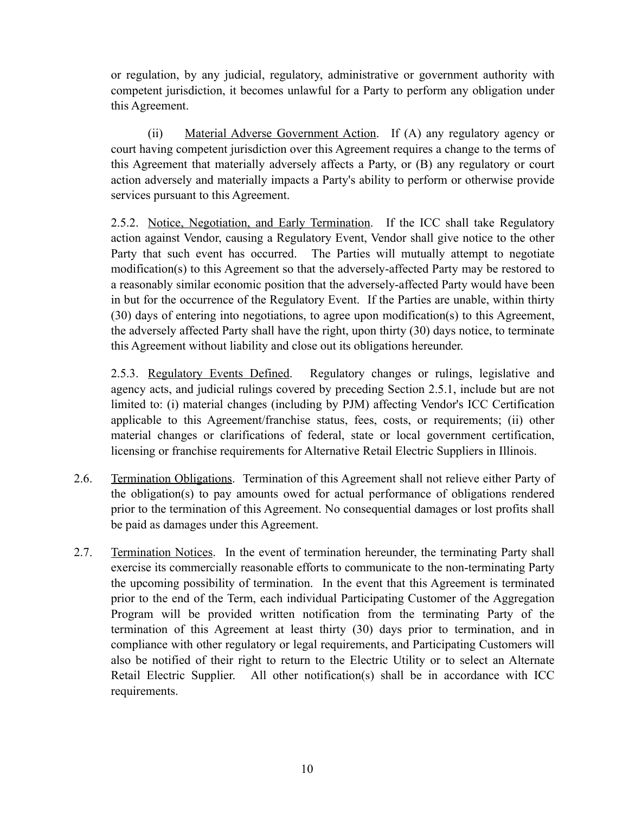or regulation, by any judicial, regulatory, administrative or government authority with competent jurisdiction, it becomes unlawful for a Party to perform any obligation under this Agreement.

(ii) Material Adverse Government Action. If (A) any regulatory agency or court having competent jurisdiction over this Agreement requires a change to the terms of this Agreement that materially adversely affects a Party, or (B) any regulatory or court action adversely and materially impacts a Party's ability to perform or otherwise provide services pursuant to this Agreement.

2.5.2. Notice, Negotiation, and Early Termination. If the ICC shall take Regulatory action against Vendor, causing a Regulatory Event, Vendor shall give notice to the other Party that such event has occurred. The Parties will mutually attempt to negotiate modification(s) to this Agreement so that the adversely-affected Party may be restored to a reasonably similar economic position that the adversely-affected Party would have been in but for the occurrence of the Regulatory Event. If the Parties are unable, within thirty (30) days of entering into negotiations, to agree upon modification(s) to this Agreement, the adversely affected Party shall have the right, upon thirty (30) days notice, to terminate this Agreement without liability and close out its obligations hereunder.

2.5.3. Regulatory Events Defined. Regulatory changes or rulings, legislative and agency acts, and judicial rulings covered by preceding Section 2.5.1, include but are not limited to: (i) material changes (including by PJM) affecting Vendor's ICC Certification applicable to this Agreement/franchise status, fees, costs, or requirements; (ii) other material changes or clarifications of federal, state or local government certification, licensing or franchise requirements for Alternative Retail Electric Suppliers in Illinois.

- 2.6. Termination Obligations. Termination of this Agreement shall not relieve either Party of the obligation(s) to pay amounts owed for actual performance of obligations rendered prior to the termination of this Agreement. No consequential damages or lost profits shall be paid as damages under this Agreement.
- 2.7. Termination Notices. In the event of termination hereunder, the terminating Party shall exercise its commercially reasonable efforts to communicate to the non-terminating Party the upcoming possibility of termination. In the event that this Agreement is terminated prior to the end of the Term, each individual Participating Customer of the Aggregation Program will be provided written notification from the terminating Party of the termination of this Agreement at least thirty (30) days prior to termination, and in compliance with other regulatory or legal requirements, and Participating Customers will also be notified of their right to return to the Electric Utility or to select an Alternate Retail Electric Supplier. All other notification(s) shall be in accordance with ICC requirements.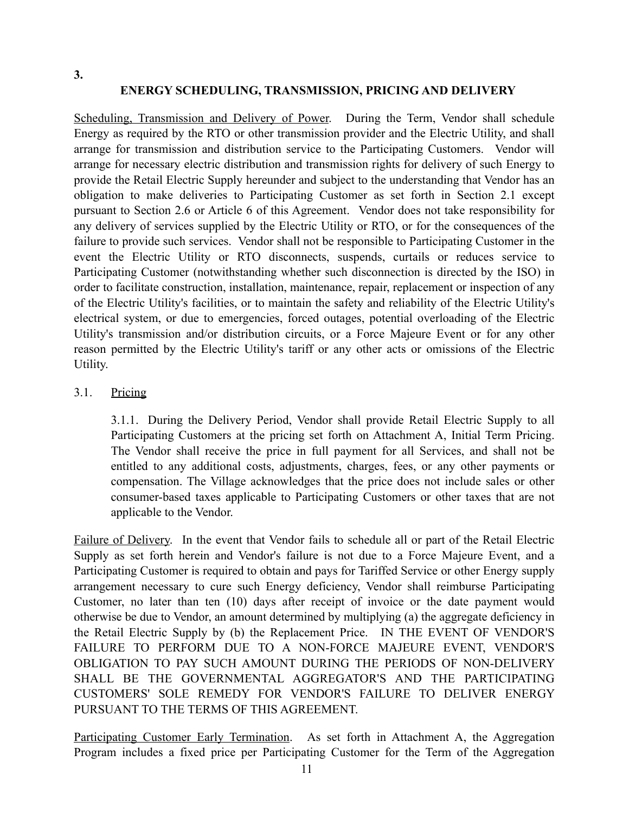# **ENERGY SCHEDULING, TRANSMISSION, PRICING AND DELIVERY**

Scheduling, Transmission and Delivery of Power. During the Term, Vendor shall schedule Energy as required by the RTO or other transmission provider and the Electric Utility, and shall arrange for transmission and distribution service to the Participating Customers. Vendor will arrange for necessary electric distribution and transmission rights for delivery of such Energy to provide the Retail Electric Supply hereunder and subject to the understanding that Vendor has an obligation to make deliveries to Participating Customer as set forth in Section [2.1](#page-6-0) except pursuant to Section 2.6 or Article 6 of this Agreement. Vendor does not take responsibility for any delivery of services supplied by the Electric Utility or RTO, or for the consequences of the failure to provide such services. Vendor shall not be responsible to Participating Customer in the event the Electric Utility or RTO disconnects, suspends, curtails or reduces service to Participating Customer (notwithstanding whether such disconnection is directed by the ISO) in order to facilitate construction, installation, maintenance, repair, replacement or inspection of any of the Electric Utility's facilities, or to maintain the safety and reliability of the Electric Utility's electrical system, or due to emergencies, forced outages, potential overloading of the Electric Utility's transmission and/or distribution circuits, or a Force Majeure Event or for any other reason permitted by the Electric Utility's tariff or any other acts or omissions of the Electric Utility.

# 3.1. Pricing

3.1.1. During the Delivery Period, Vendor shall provide Retail Electric Supply to all Participating Customers at the pricing set forth on Attachment A, Initial Term Pricing. The Vendor shall receive the price in full payment for all Services, and shall not be entitled to any additional costs, adjustments, charges, fees, or any other payments or compensation. The Village acknowledges that the price does not include sales or other consumer-based taxes applicable to Participating Customers or other taxes that are not applicable to the Vendor.

Failure of Delivery. In the event that Vendor fails to schedule all or part of the Retail Electric Supply as set forth herein and Vendor's failure is not due to a Force Majeure Event, and a Participating Customer is required to obtain and pays for Tariffed Service or other Energy supply arrangement necessary to cure such Energy deficiency, Vendor shall reimburse Participating Customer, no later than ten (10) days after receipt of invoice or the date payment would otherwise be due to Vendor, an amount determined by multiplying (a) the aggregate deficiency in the Retail Electric Supply by (b) the Replacement Price. IN THE EVENT OF VENDOR'S FAILURE TO PERFORM DUE TO A NON-FORCE MAJEURE EVENT, VENDOR'S OBLIGATION TO PAY SUCH AMOUNT DURING THE PERIODS OF NON-DELIVERY SHALL BE THE GOVERNMENTAL AGGREGATOR'S AND THE PARTICIPATING CUSTOMERS' SOLE REMEDY FOR VENDOR'S FAILURE TO DELIVER ENERGY PURSUANT TO THE TERMS OF THIS AGREEMENT.

Participating Customer Early Termination. As set forth in Attachment A, the Aggregation Program includes a fixed price per Participating Customer for the Term of the Aggregation

**3.**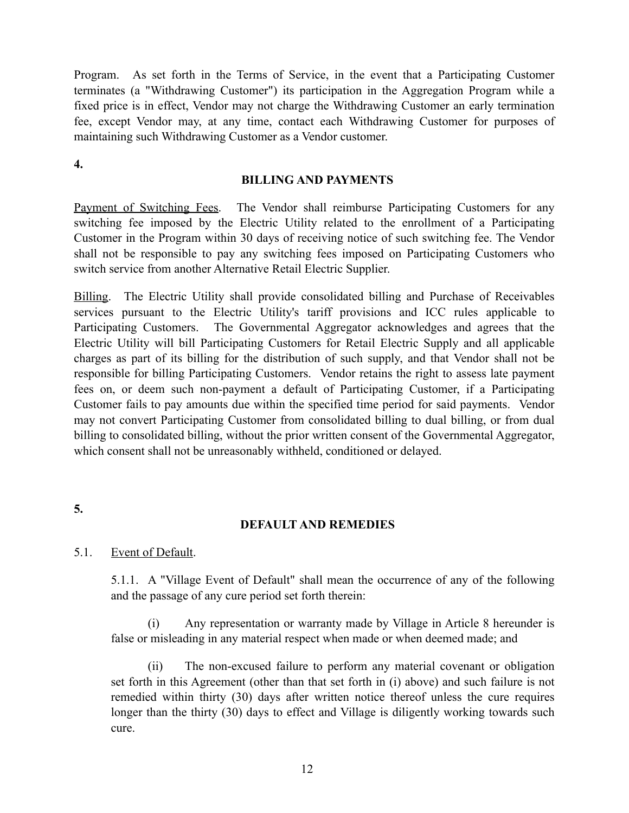Program. As set forth in the Terms of Service, in the event that a Participating Customer terminates (a "Withdrawing Customer") its participation in the Aggregation Program while a fixed price is in effect, Vendor may not charge the Withdrawing Customer an early termination fee, except Vendor may, at any time, contact each Withdrawing Customer for purposes of maintaining such Withdrawing Customer as a Vendor customer.

**4.**

#### **BILLING AND PAYMENTS**

Payment of Switching Fees. The Vendor shall reimburse Participating Customers for any switching fee imposed by the Electric Utility related to the enrollment of a Participating Customer in the Program within 30 days of receiving notice of such switching fee. The Vendor shall not be responsible to pay any switching fees imposed on Participating Customers who switch service from another Alternative Retail Electric Supplier.

Billing. The Electric Utility shall provide consolidated billing and Purchase of Receivables services pursuant to the Electric Utility's tariff provisions and ICC rules applicable to Participating Customers. The Governmental Aggregator acknowledges and agrees that the Electric Utility will bill Participating Customers for Retail Electric Supply and all applicable charges as part of its billing for the distribution of such supply, and that Vendor shall not be responsible for billing Participating Customers. Vendor retains the right to assess late payment fees on, or deem such non-payment a default of Participating Customer, if a Participating Customer fails to pay amounts due within the specified time period for said payments. Vendor may not convert Participating Customer from consolidated billing to dual billing, or from dual billing to consolidated billing, without the prior written consent of the Governmental Aggregator, which consent shall not be unreasonably withheld, conditioned or delayed.

# **5.**

# <span id="page-11-1"></span><span id="page-11-0"></span>**DEFAULT AND REMEDIES**

# 5.1. Event of Default.

5.1.1. A "Village Event of Default" shall mean the occurrence of any of the following and the passage of any cure period set forth therein:

(i) Any representation or warranty made by Village in Article 8 hereunder is false or misleading in any material respect when made or when deemed made; and

(ii) The non-excused failure to perform any material covenant or obligation set forth in this Agreement (other than that set forth in (i) above) and such failure is not remedied within thirty (30) days after written notice thereof unless the cure requires longer than the thirty (30) days to effect and Village is diligently working towards such cure.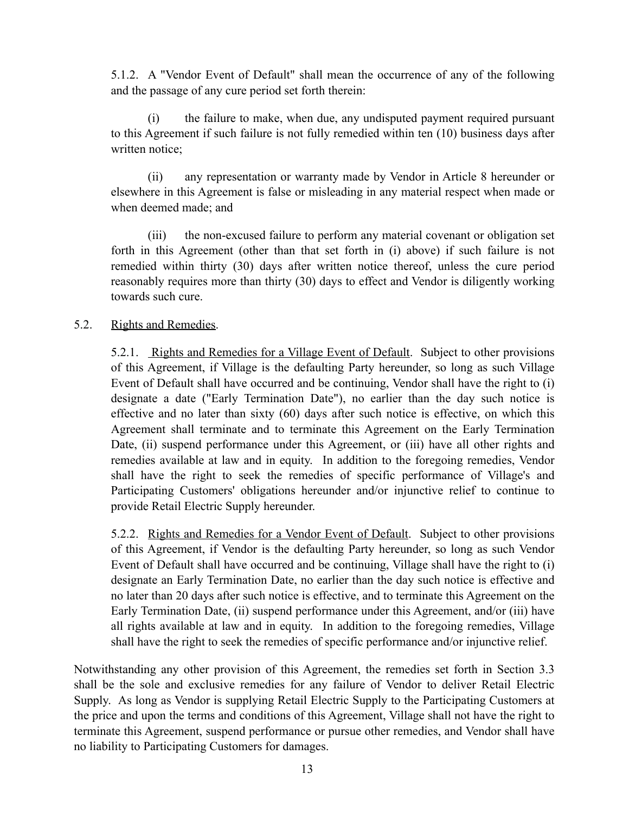5.1.2. A "Vendor Event of Default" shall mean the occurrence of any of the following and the passage of any cure period set forth therein:

(i) the failure to make, when due, any undisputed payment required pursuant to this Agreement if such failure is not fully remedied within ten (10) business days after written notice;

(ii) any representation or warranty made by Vendor in Article 8 hereunder or elsewhere in this Agreement is false or misleading in any material respect when made or when deemed made; and

(iii) the non-excused failure to perform any material covenant or obligation set forth in this Agreement (other than that set forth in (i) above) if such failure is not remedied within thirty (30) days after written notice thereof, unless the cure period reasonably requires more than thirty (30) days to effect and Vendor is diligently working towards such cure.

# 5.2. Rights and Remedies.

5.2.1. Rights and Remedies for a Village Event of Default. Subject to other provisions of this Agreement, if Village is the defaulting Party hereunder, so long as such Village Event of Default shall have occurred and be continuing, Vendor shall have the right to (i) designate a date ("Early Termination Date"), no earlier than the day such notice is effective and no later than sixty (60) days after such notice is effective, on which this Agreement shall terminate and to terminate this Agreement on the Early Termination Date, (ii) suspend performance under this Agreement, or (iii) have all other rights and remedies available at law and in equity. In addition to the foregoing remedies, Vendor shall have the right to seek the remedies of specific performance of Village's and Participating Customers' obligations hereunder and/or injunctive relief to continue to provide Retail Electric Supply hereunder.

5.2.2. Rights and Remedies for a Vendor Event of Default. Subject to other provisions of this Agreement, if Vendor is the defaulting Party hereunder, so long as such Vendor Event of Default shall have occurred and be continuing, Village shall have the right to (i) designate an Early Termination Date, no earlier than the day such notice is effective and no later than 20 days after such notice is effective, and to terminate this Agreement on the Early Termination Date, (ii) suspend performance under this Agreement, and/or (iii) have all rights available at law and in equity. In addition to the foregoing remedies, Village shall have the right to seek the remedies of specific performance and/or injunctive relief.

Notwithstanding any other provision of this Agreement, the remedies set forth in Section 3.3 shall be the sole and exclusive remedies for any failure of Vendor to deliver Retail Electric Supply. As long as Vendor is supplying Retail Electric Supply to the Participating Customers at the price and upon the terms and conditions of this Agreement, Village shall not have the right to terminate this Agreement, suspend performance or pursue other remedies, and Vendor shall have no liability to Participating Customers for damages.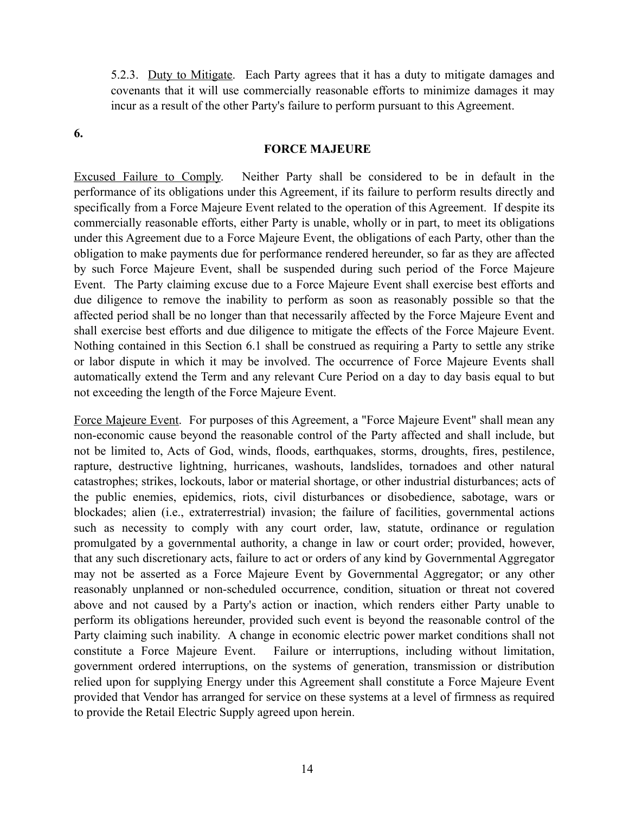5.2.3. Duty to Mitigate. Each Party agrees that it has a duty to mitigate damages and covenants that it will use commercially reasonable efforts to minimize damages it may incur as a result of the other Party's failure to perform pursuant to this Agreement.

**6.**

#### **FORCE MAJEURE**

Excused Failure to Comply. Neither Party shall be considered to be in default in the performance of its obligations under this Agreement, if its failure to perform results directly and specifically from a Force Majeure Event related to the operation of this Agreement. If despite its commercially reasonable efforts, either Party is unable, wholly or in part, to meet its obligations under this Agreement due to a Force Majeure Event, the obligations of each Party, other than the obligation to make payments due for performance rendered hereunder, so far as they are affected by such Force Majeure Event, shall be suspended during such period of the Force Majeure Event. The Party claiming excuse due to a Force Majeure Event shall exercise best efforts and due diligence to remove the inability to perform as soon as reasonably possible so that the affected period shall be no longer than that necessarily affected by the Force Majeure Event and shall exercise best efforts and due diligence to mitigate the effects of the Force Majeure Event. Nothing contained in this Section 6.1 shall be construed as requiring a Party to settle any strike or labor dispute in which it may be involved. The occurrence of Force Majeure Events shall automatically extend the Term and any relevant Cure Period on a day to day basis equal to but not exceeding the length of the Force Majeure Event.

Force Majeure Event. For purposes of this Agreement, a "Force Majeure Event" shall mean any non-economic cause beyond the reasonable control of the Party affected and shall include, but not be limited to, Acts of God, winds, floods, earthquakes, storms, droughts, fires, pestilence, rapture, destructive lightning, hurricanes, washouts, landslides, tornadoes and other natural catastrophes; strikes, lockouts, labor or material shortage, or other industrial disturbances; acts of the public enemies, epidemics, riots, civil disturbances or disobedience, sabotage, wars or blockades; alien (i.e., extraterrestrial) invasion; the failure of facilities, governmental actions such as necessity to comply with any court order, law, statute, ordinance or regulation promulgated by a governmental authority, a change in law or court order; provided, however, that any such discretionary acts, failure to act or orders of any kind by Governmental Aggregator may not be asserted as a Force Majeure Event by Governmental Aggregator; or any other reasonably unplanned or non-scheduled occurrence, condition, situation or threat not covered above and not caused by a Party's action or inaction, which renders either Party unable to perform its obligations hereunder, provided such event is beyond the reasonable control of the Party claiming such inability. A change in economic electric power market conditions shall not constitute a Force Majeure Event. Failure or interruptions, including without limitation, government ordered interruptions, on the systems of generation, transmission or distribution relied upon for supplying Energy under this Agreement shall constitute a Force Majeure Event provided that Vendor has arranged for service on these systems at a level of firmness as required to provide the Retail Electric Supply agreed upon herein.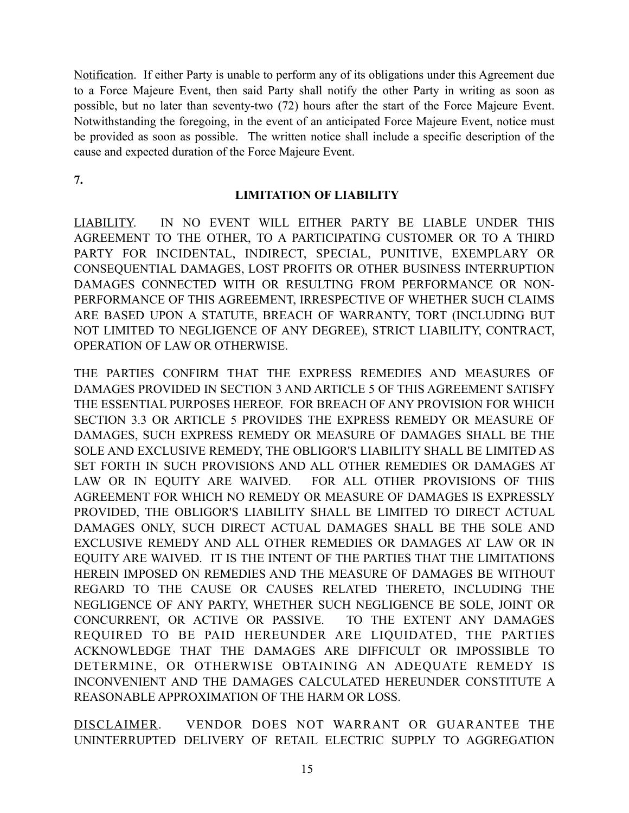Notification. If either Party is unable to perform any of its obligations under this Agreement due to a Force Majeure Event, then said Party shall notify the other Party in writing as soon as possible, but no later than seventy-two (72) hours after the start of the Force Majeure Event. Notwithstanding the foregoing, in the event of an anticipated Force Majeure Event, notice must be provided as soon as possible. The written notice shall include a specific description of the cause and expected duration of the Force Majeure Event.

**7.**

#### **LIMITATION OF LIABILITY**

LIABILITY. IN NO EVENT WILL EITHER PARTY BE LIABLE UNDER THIS AGREEMENT TO THE OTHER, TO A PARTICIPATING CUSTOMER OR TO A THIRD PARTY FOR INCIDENTAL, INDIRECT, SPECIAL, PUNITIVE, EXEMPLARY OR CONSEQUENTIAL DAMAGES, LOST PROFITS OR OTHER BUSINESS INTERRUPTION DAMAGES CONNECTED WITH OR RESULTING FROM PERFORMANCE OR NON-PERFORMANCE OF THIS AGREEMENT, IRRESPECTIVE OF WHETHER SUCH CLAIMS ARE BASED UPON A STATUTE, BREACH OF WARRANTY, TORT (INCLUDING BUT NOT LIMITED TO NEGLIGENCE OF ANY DEGREE), STRICT LIABILITY, CONTRACT, OPERATION OF LAW OR OTHERWISE.

THE PARTIES CONFIRM THAT THE EXPRESS REMEDIES AND MEASURES OF DAMAGES PROVIDED IN SECTION 3 AND ARTICLE 5 OF THIS AGREEMENT SATISFY THE ESSENTIAL PURPOSES HEREOF. FOR BREACH OF ANY PROVISION FOR WHICH SECTION 3.3 OR ARTICLE 5 PROVIDES THE EXPRESS REMEDY OR MEASURE OF DAMAGES, SUCH EXPRESS REMEDY OR MEASURE OF DAMAGES SHALL BE THE SOLE AND EXCLUSIVE REMEDY, THE OBLIGOR'S LIABILITY SHALL BE LIMITED AS SET FORTH IN SUCH PROVISIONS AND ALL OTHER REMEDIES OR DAMAGES AT LAW OR IN EQUITY ARE WAIVED. FOR ALL OTHER PROVISIONS OF THIS AGREEMENT FOR WHICH NO REMEDY OR MEASURE OF DAMAGES IS EXPRESSLY PROVIDED, THE OBLIGOR'S LIABILITY SHALL BE LIMITED TO DIRECT ACTUAL DAMAGES ONLY, SUCH DIRECT ACTUAL DAMAGES SHALL BE THE SOLE AND EXCLUSIVE REMEDY AND ALL OTHER REMEDIES OR DAMAGES AT LAW OR IN EQUITY ARE WAIVED. IT IS THE INTENT OF THE PARTIES THAT THE LIMITATIONS HEREIN IMPOSED ON REMEDIES AND THE MEASURE OF DAMAGES BE WITHOUT REGARD TO THE CAUSE OR CAUSES RELATED THERETO, INCLUDING THE NEGLIGENCE OF ANY PARTY, WHETHER SUCH NEGLIGENCE BE SOLE, JOINT OR CONCURRENT, OR ACTIVE OR PASSIVE. TO THE EXTENT ANY DAMAGES REQUIRED TO BE PAID HEREUNDER ARE LIQUIDATED, THE PARTIES ACKNOWLEDGE THAT THE DAMAGES ARE DIFFICULT OR IMPOSSIBLE TO DETERMINE, OR OTHERWISE OBTAINING AN ADEQUATE REMEDY IS INCONVENIENT AND THE DAMAGES CALCULATED HEREUNDER CONSTITUTE A REASONABLE APPROXIMATION OF THE HARM OR LOSS.

DISCLAIMER. VENDOR DOES NOT WARRANT OR GUARANTEE THE UNINTERRUPTED DELIVERY OF RETAIL ELECTRIC SUPPLY TO AGGREGATION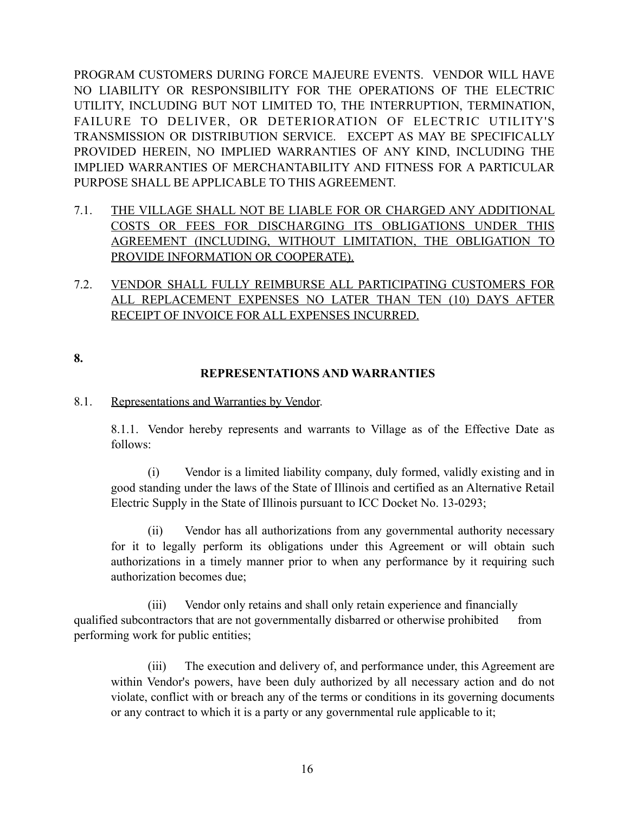PROGRAM CUSTOMERS DURING FORCE MAJEURE EVENTS. VENDOR WILL HAVE NO LIABILITY OR RESPONSIBILITY FOR THE OPERATIONS OF THE ELECTRIC UTILITY, INCLUDING BUT NOT LIMITED TO, THE INTERRUPTION, TERMINATION, FAILURE TO DELIVER, OR DETERIORATION OF ELECTRIC UTILITY'S TRANSMISSION OR DISTRIBUTION SERVICE. EXCEPT AS MAY BE SPECIFICALLY PROVIDED HEREIN, NO IMPLIED WARRANTIES OF ANY KIND, INCLUDING THE IMPLIED WARRANTIES OF MERCHANTABILITY AND FITNESS FOR A PARTICULAR PURPOSE SHALL BE APPLICABLE TO THIS AGREEMENT.

- 7.1. THE VILLAGE SHALL NOT BE LIABLE FOR OR CHARGED ANY ADDITIONAL COSTS OR FEES FOR DISCHARGING ITS OBLIGATIONS UNDER THIS AGREEMENT (INCLUDING, WITHOUT LIMITATION, THE OBLIGATION TO PROVIDE INFORMATION OR COOPERATE).
- 7.2. VENDOR SHALL FULLY REIMBURSE ALL PARTICIPATING CUSTOMERS FOR ALL REPLACEMENT EXPENSES NO LATER THAN TEN (10) DAYS AFTER RECEIPT OF INVOICE FOR ALL EXPENSES INCURRED.

**8.**

# **REPRESENTATIONS AND WARRANTIES**

# 8.1. Representations and Warranties by Vendor.

8.1.1. Vendor hereby represents and warrants to Village as of the Effective Date as follows:

(i) Vendor is a limited liability company, duly formed, validly existing and in good standing under the laws of the State of Illinois and certified as an Alternative Retail Electric Supply in the State of Illinois pursuant to ICC Docket No. 13-0293;

(ii) Vendor has all authorizations from any governmental authority necessary for it to legally perform its obligations under this Agreement or will obtain such authorizations in a timely manner prior to when any performance by it requiring such authorization becomes due;

 (iii) Vendor only retains and shall only retain experience and financially qualified subcontractors that are not governmentally disbarred or otherwise prohibited from performing work for public entities;

(iii) The execution and delivery of, and performance under, this Agreement are within Vendor's powers, have been duly authorized by all necessary action and do not violate, conflict with or breach any of the terms or conditions in its governing documents or any contract to which it is a party or any governmental rule applicable to it;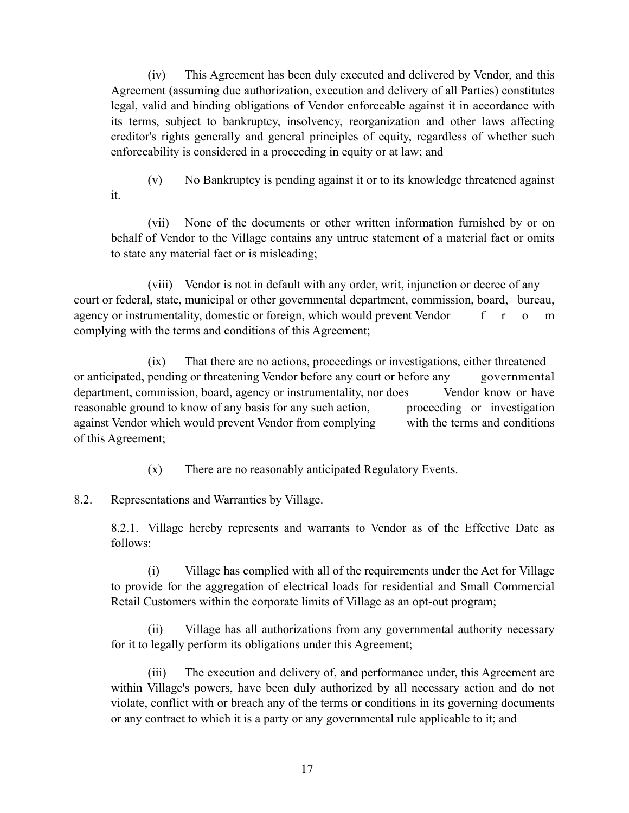(iv) This Agreement has been duly executed and delivered by Vendor, and this Agreement (assuming due authorization, execution and delivery of all Parties) constitutes legal, valid and binding obligations of Vendor enforceable against it in accordance with its terms, subject to bankruptcy, insolvency, reorganization and other laws affecting creditor's rights generally and general principles of equity, regardless of whether such enforceability is considered in a proceeding in equity or at law; and

(v) No Bankruptcy is pending against it or to its knowledge threatened against it.

(vii) None of the documents or other written information furnished by or on behalf of Vendor to the Village contains any untrue statement of a material fact or omits to state any material fact or is misleading;

 (viii) Vendor is not in default with any order, writ, injunction or decree of any court or federal, state, municipal or other governmental department, commission, board, bureau, agency or instrumentality, domestic or foreign, which would prevent Vendor f r o m complying with the terms and conditions of this Agreement;

 (ix) That there are no actions, proceedings or investigations, either threatened or anticipated, pending or threatening Vendor before any court or before any governmental department, commission, board, agency or instrumentality, nor does Vendor know or have reasonable ground to know of any basis for any such action, proceeding or investigation against Vendor which would prevent Vendor from complying with the terms and conditions of this Agreement;

(x) There are no reasonably anticipated Regulatory Events.

# 8.2. Representations and Warranties by Village.

8.2.1. Village hereby represents and warrants to Vendor as of the Effective Date as follows:

(i) Village has complied with all of the requirements under the Act for Village to provide for the aggregation of electrical loads for residential and Small Commercial Retail Customers within the corporate limits of Village as an opt-out program;

(ii) Village has all authorizations from any governmental authority necessary for it to legally perform its obligations under this Agreement;

(iii) The execution and delivery of, and performance under, this Agreement are within Village's powers, have been duly authorized by all necessary action and do not violate, conflict with or breach any of the terms or conditions in its governing documents or any contract to which it is a party or any governmental rule applicable to it; and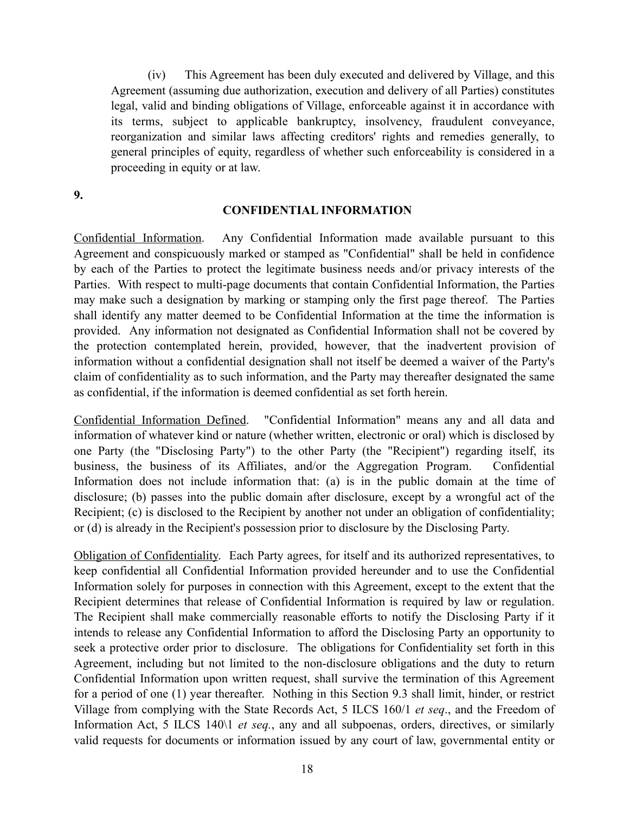(iv) This Agreement has been duly executed and delivered by Village, and this Agreement (assuming due authorization, execution and delivery of all Parties) constitutes legal, valid and binding obligations of Village, enforceable against it in accordance with its terms, subject to applicable bankruptcy, insolvency, fraudulent conveyance, reorganization and similar laws affecting creditors' rights and remedies generally, to general principles of equity, regardless of whether such enforceability is considered in a proceeding in equity or at law.

**9.**

#### **CONFIDENTIAL INFORMATION**

Confidential Information. Any Confidential Information made available pursuant to this Agreement and conspicuously marked or stamped as "Confidential" shall be held in confidence by each of the Parties to protect the legitimate business needs and/or privacy interests of the Parties. With respect to multi-page documents that contain Confidential Information, the Parties may make such a designation by marking or stamping only the first page thereof. The Parties shall identify any matter deemed to be Confidential Information at the time the information is provided. Any information not designated as Confidential Information shall not be covered by the protection contemplated herein, provided, however, that the inadvertent provision of information without a confidential designation shall not itself be deemed a waiver of the Party's claim of confidentiality as to such information, and the Party may thereafter designated the same as confidential, if the information is deemed confidential as set forth herein.

Confidential Information Defined. "Confidential Information" means any and all data and information of whatever kind or nature (whether written, electronic or oral) which is disclosed by one Party (the "Disclosing Party") to the other Party (the "Recipient") regarding itself, its business, the business of its Affiliates, and/or the Aggregation Program. Confidential Information does not include information that: (a) is in the public domain at the time of disclosure; (b) passes into the public domain after disclosure, except by a wrongful act of the Recipient; (c) is disclosed to the Recipient by another not under an obligation of confidentiality; or (d) is already in the Recipient's possession prior to disclosure by the Disclosing Party.

Obligation of Confidentiality. Each Party agrees, for itself and its authorized representatives, to keep confidential all Confidential Information provided hereunder and to use the Confidential Information solely for purposes in connection with this Agreement, except to the extent that the Recipient determines that release of Confidential Information is required by law or regulation. The Recipient shall make commercially reasonable efforts to notify the Disclosing Party if it intends to release any Confidential Information to afford the Disclosing Party an opportunity to seek a protective order prior to disclosure. The obligations for Confidentiality set forth in this Agreement, including but not limited to the non-disclosure obligations and the duty to return Confidential Information upon written request, shall survive the termination of this Agreement for a period of one (1) year thereafter. Nothing in this Section 9.3 shall limit, hinder, or restrict Village from complying with the State Records Act, 5 ILCS 160/1 *et seq*., and the Freedom of Information Act, 5 ILCS 140\1 *et seq.*, any and all subpoenas, orders, directives, or similarly valid requests for documents or information issued by any court of law, governmental entity or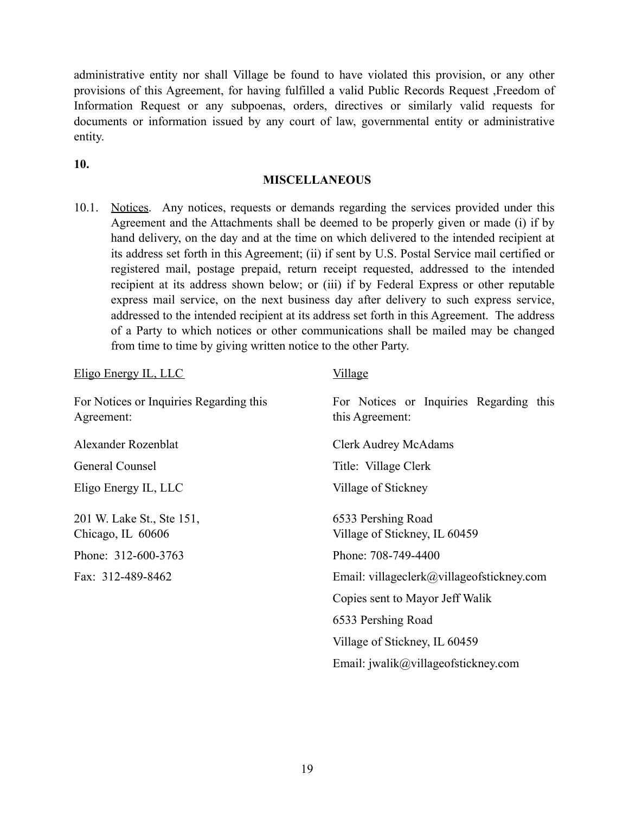administrative entity nor shall Village be found to have violated this provision, or any other provisions of this Agreement, for having fulfilled a valid Public Records Request ,Freedom of Information Request or any subpoenas, orders, directives or similarly valid requests for documents or information issued by any court of law, governmental entity or administrative entity.

**10.**

#### **MISCELLANEOUS**

10.1. Notices. Any notices, requests or demands regarding the services provided under this Agreement and the Attachments shall be deemed to be properly given or made (i) if by hand delivery, on the day and at the time on which delivered to the intended recipient at its address set forth in this Agreement; (ii) if sent by U.S. Postal Service mail certified or registered mail, postage prepaid, return receipt requested, addressed to the intended recipient at its address shown below; or (iii) if by Federal Express or other reputable express mail service, on the next business day after delivery to such express service, addressed to the intended recipient at its address set forth in this Agreement. The address of a Party to which notices or other communications shall be mailed may be changed from time to time by giving written notice to the other Party.

| Eligo Energy IL, LLC                                  | <u>Village</u>                                             |
|-------------------------------------------------------|------------------------------------------------------------|
| For Notices or Inquiries Regarding this<br>Agreement: | For Notices or Inquiries Regarding this<br>this Agreement: |
| Alexander Rozenblat                                   | <b>Clerk Audrey McAdams</b>                                |
| General Counsel                                       | Title: Village Clerk                                       |
| Eligo Energy IL, LLC                                  | Village of Stickney                                        |
| 201 W. Lake St., Ste 151,<br>Chicago, IL 60606        | 6533 Pershing Road<br>Village of Stickney, IL 60459        |
| Phone: 312-600-3763                                   | Phone: 708-749-4400                                        |
| Fax: 312-489-8462                                     | Email: villageclerk@villageofstickney.com                  |
|                                                       | Copies sent to Mayor Jeff Walik                            |
|                                                       | 6533 Pershing Road                                         |
|                                                       | Village of Stickney, IL 60459                              |
|                                                       | Email: $jwalik@village of stickney.com$                    |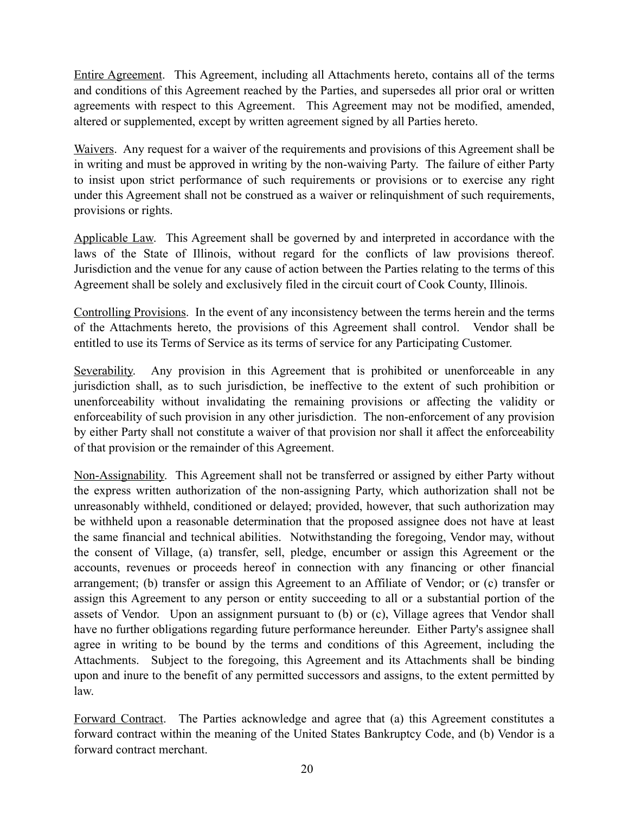Entire Agreement. This Agreement, including all Attachments hereto, contains all of the terms and conditions of this Agreement reached by the Parties, and supersedes all prior oral or written agreements with respect to this Agreement. This Agreement may not be modified, amended, altered or supplemented, except by written agreement signed by all Parties hereto.

Waivers. Any request for a waiver of the requirements and provisions of this Agreement shall be in writing and must be approved in writing by the non-waiving Party. The failure of either Party to insist upon strict performance of such requirements or provisions or to exercise any right under this Agreement shall not be construed as a waiver or relinquishment of such requirements, provisions or rights.

Applicable Law. This Agreement shall be governed by and interpreted in accordance with the laws of the State of Illinois, without regard for the conflicts of law provisions thereof. Jurisdiction and the venue for any cause of action between the Parties relating to the terms of this Agreement shall be solely and exclusively filed in the circuit court of Cook County, Illinois.

Controlling Provisions. In the event of any inconsistency between the terms herein and the terms of the Attachments hereto, the provisions of this Agreement shall control. Vendor shall be entitled to use its Terms of Service as its terms of service for any Participating Customer.

Severability. Any provision in this Agreement that is prohibited or unenforceable in any jurisdiction shall, as to such jurisdiction, be ineffective to the extent of such prohibition or unenforceability without invalidating the remaining provisions or affecting the validity or enforceability of such provision in any other jurisdiction. The non-enforcement of any provision by either Party shall not constitute a waiver of that provision nor shall it affect the enforceability of that provision or the remainder of this Agreement.

Non-Assignability. This Agreement shall not be transferred or assigned by either Party without the express written authorization of the non-assigning Party, which authorization shall not be unreasonably withheld, conditioned or delayed; provided, however, that such authorization may be withheld upon a reasonable determination that the proposed assignee does not have at least the same financial and technical abilities. Notwithstanding the foregoing, Vendor may, without the consent of Village, (a) transfer, sell, pledge, encumber or assign this Agreement or the accounts, revenues or proceeds hereof in connection with any financing or other financial arrangement; (b) transfer or assign this Agreement to an Affiliate of Vendor; or (c) transfer or assign this Agreement to any person or entity succeeding to all or a substantial portion of the assets of Vendor. Upon an assignment pursuant to (b) or (c), Village agrees that Vendor shall have no further obligations regarding future performance hereunder. Either Party's assignee shall agree in writing to be bound by the terms and conditions of this Agreement, including the Attachments. Subject to the foregoing, this Agreement and its Attachments shall be binding upon and inure to the benefit of any permitted successors and assigns, to the extent permitted by law.

Forward Contract. The Parties acknowledge and agree that (a) this Agreement constitutes a forward contract within the meaning of the United States Bankruptcy Code, and (b) Vendor is a forward contract merchant.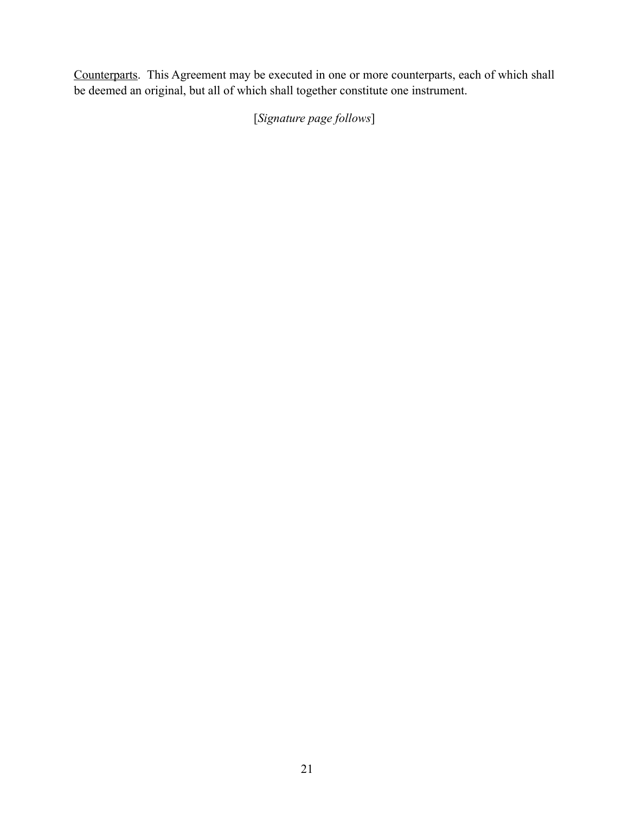Counterparts. This Agreement may be executed in one or more counterparts, each of which shall be deemed an original, but all of which shall together constitute one instrument.

[*Signature page follows*]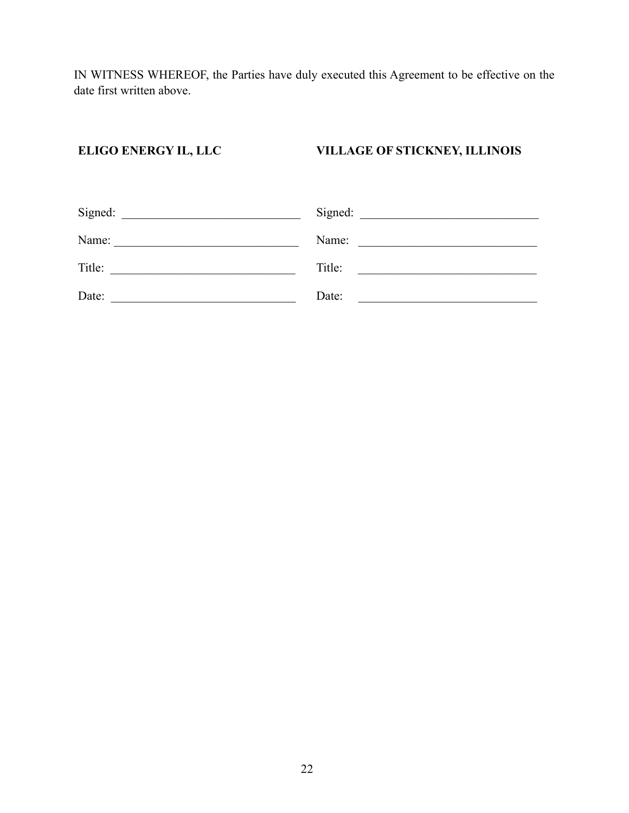IN WITNESS WHEREOF, the Parties have duly executed this Agreement to be effective on the date first written above.

# **ELIGO ENERGY IL, LLC**

**VILLAGE OF STICKNEY, ILLINOIS** 

| Signed: | Signed: |
|---------|---------|
| Name:   | Name:   |
| Title:  | Title:  |
| Date:   | Date:   |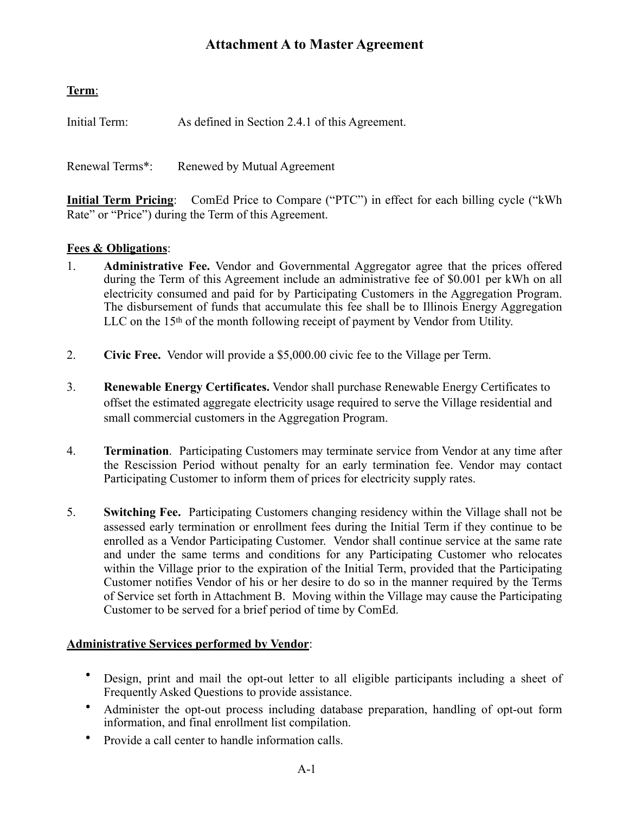# **Term**:

Initial Term: As defined in Section 2.4.1 of this Agreement.

Renewal Terms\*: Renewed by Mutual Agreement

**Initial Term Pricing**: ComEd Price to Compare ("PTC") in effect for each billing cycle ("kWh Rate" or "Price") during the Term of this Agreement.

# **Fees & Obligations**:

- 1. **Administrative Fee.** Vendor and Governmental Aggregator agree that the prices offered during the Term of this Agreement include an administrative fee of \$0.001 per kWh on all electricity consumed and paid for by Participating Customers in the Aggregation Program. The disbursement of funds that accumulate this fee shall be to Illinois Energy Aggregation LLC on the 15<sup>th</sup> of the month following receipt of payment by Vendor from Utility.
- 2. **Civic Free.** Vendor will provide a \$5,000.00 civic fee to the Village per Term.
- 3. **Renewable Energy Certificates.** Vendor shall purchase Renewable Energy Certificates to offset the estimated aggregate electricity usage required to serve the Village residential and small commercial customers in the Aggregation Program.
- 4. **Termination**. Participating Customers may terminate service from Vendor at any time after the Rescission Period without penalty for an early termination fee. Vendor may contact Participating Customer to inform them of prices for electricity supply rates.
- 5. **Switching Fee.** Participating Customers changing residency within the Village shall not be assessed early termination or enrollment fees during the Initial Term if they continue to be enrolled as a Vendor Participating Customer. Vendor shall continue service at the same rate and under the same terms and conditions for any Participating Customer who relocates within the Village prior to the expiration of the Initial Term, provided that the Participating Customer notifies Vendor of his or her desire to do so in the manner required by the Terms of Service set forth in Attachment B. Moving within the Village may cause the Participating Customer to be served for a brief period of time by ComEd.

# **Administrative Services performed by Vendor**:

- Design, print and mail the opt-out letter to all eligible participants including a sheet of Frequently Asked Questions to provide assistance.
- Administer the opt-out process including database preparation, handling of opt-out form information, and final enrollment list compilation.
- Provide a call center to handle information calls.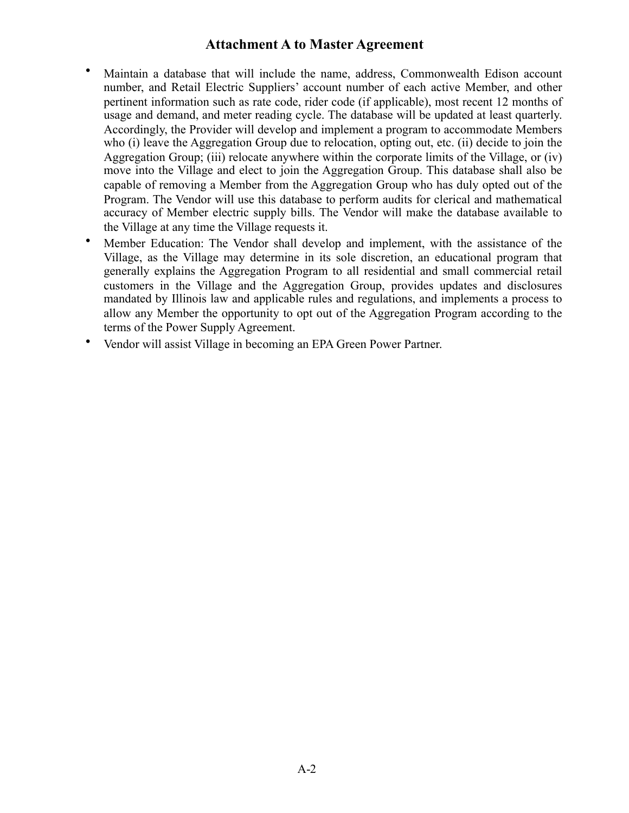- Maintain a database that will include the name, address, Commonwealth Edison account number, and Retail Electric Suppliers' account number of each active Member, and other pertinent information such as rate code, rider code (if applicable), most recent 12 months of usage and demand, and meter reading cycle. The database will be updated at least quarterly. Accordingly, the Provider will develop and implement a program to accommodate Members who (i) leave the Aggregation Group due to relocation, opting out, etc. (ii) decide to join the Aggregation Group; (iii) relocate anywhere within the corporate limits of the Village, or (iv) move into the Village and elect to join the Aggregation Group. This database shall also be capable of removing a Member from the Aggregation Group who has duly opted out of the Program. The Vendor will use this database to perform audits for clerical and mathematical accuracy of Member electric supply bills. The Vendor will make the database available to the Village at any time the Village requests it.
- Member Education: The Vendor shall develop and implement, with the assistance of the Village, as the Village may determine in its sole discretion, an educational program that generally explains the Aggregation Program to all residential and small commercial retail customers in the Village and the Aggregation Group, provides updates and disclosures mandated by Illinois law and applicable rules and regulations, and implements a process to allow any Member the opportunity to opt out of the Aggregation Program according to the terms of the Power Supply Agreement.
- Vendor will assist Village in becoming an EPA Green Power Partner.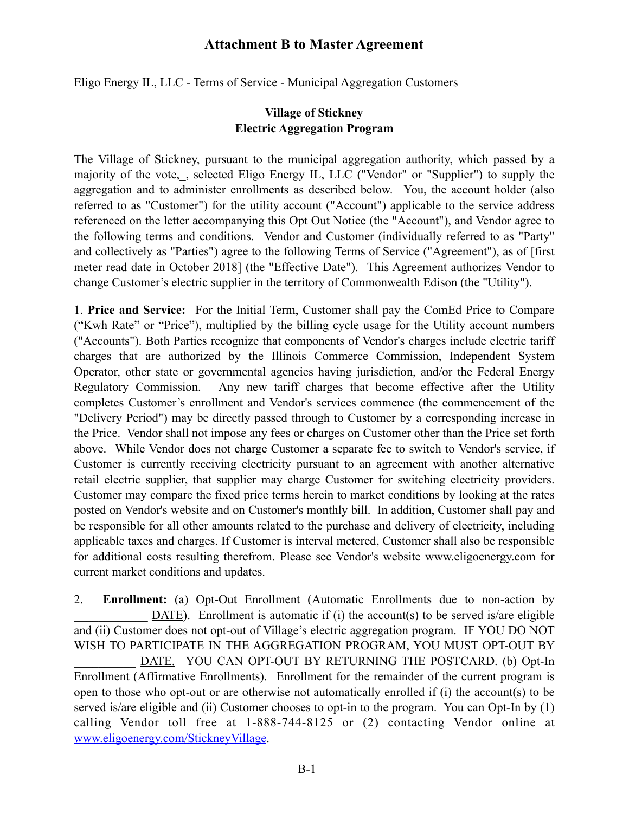Eligo Energy IL, LLC - Terms of Service - Municipal Aggregation Customers

# **Village of Stickney Electric Aggregation Program**

The Village of Stickney, pursuant to the municipal aggregation authority, which passed by a majority of the vote, , selected Eligo Energy IL, LLC ("Vendor" or "Supplier") to supply the aggregation and to administer enrollments as described below. You, the account holder (also referred to as "Customer") for the utility account ("Account") applicable to the service address referenced on the letter accompanying this Opt Out Notice (the "Account"), and Vendor agree to the following terms and conditions. Vendor and Customer (individually referred to as "Party" and collectively as "Parties") agree to the following Terms of Service ("Agreement"), as of [first meter read date in October 2018] (the "Effective Date"). This Agreement authorizes Vendor to change Customer's electric supplier in the territory of Commonwealth Edison (the "Utility").

1. **Price and Service:** For the Initial Term, Customer shall pay the ComEd Price to Compare ("Kwh Rate" or "Price"), multiplied by the billing cycle usage for the Utility account numbers ("Accounts"). Both Parties recognize that components of Vendor's charges include electric tariff charges that are authorized by the Illinois Commerce Commission, Independent System Operator, other state or governmental agencies having jurisdiction, and/or the Federal Energy Regulatory Commission. Any new tariff charges that become effective after the Utility completes Customer's enrollment and Vendor's services commence (the commencement of the "Delivery Period") may be directly passed through to Customer by a corresponding increase in the Price. Vendor shall not impose any fees or charges on Customer other than the Price set forth above. While Vendor does not charge Customer a separate fee to switch to Vendor's service, if Customer is currently receiving electricity pursuant to an agreement with another alternative retail electric supplier, that supplier may charge Customer for switching electricity providers. Customer may compare the fixed price terms herein to market conditions by looking at the rates posted on Vendor's website and on Customer's monthly bill. In addition, Customer shall pay and be responsible for all other amounts related to the purchase and delivery of electricity, including applicable taxes and charges. If Customer is interval metered, Customer shall also be responsible for additional costs resulting therefrom. Please see Vendor's website www.eligoenergy.com for current market conditions and updates.

2. **Enrollment:** (a) Opt-Out Enrollment (Automatic Enrollments due to non-action by DATE). Enrollment is automatic if (i) the account(s) to be served is/are eligible and (ii) Customer does not opt-out of Village's electric aggregation program. IF YOU DO NOT WISH TO PARTICIPATE IN THE AGGREGATION PROGRAM, YOU MUST OPT-OUT BY DATE. YOU CAN OPT-OUT BY RETURNING THE POSTCARD. (b) Opt-In Enrollment (Affirmative Enrollments). Enrollment for the remainder of the current program is open to those who opt-out or are otherwise not automatically enrolled if (i) the account(s) to be served is/are eligible and (ii) Customer chooses to opt-in to the program. You can Opt-In by (1) calling Vendor toll free at 1-888-744-8125 or (2) contacting Vendor online at [www.eligoenergy.com/StickneyVillage](http://www.eligoenergy.com/LeafRivertownship).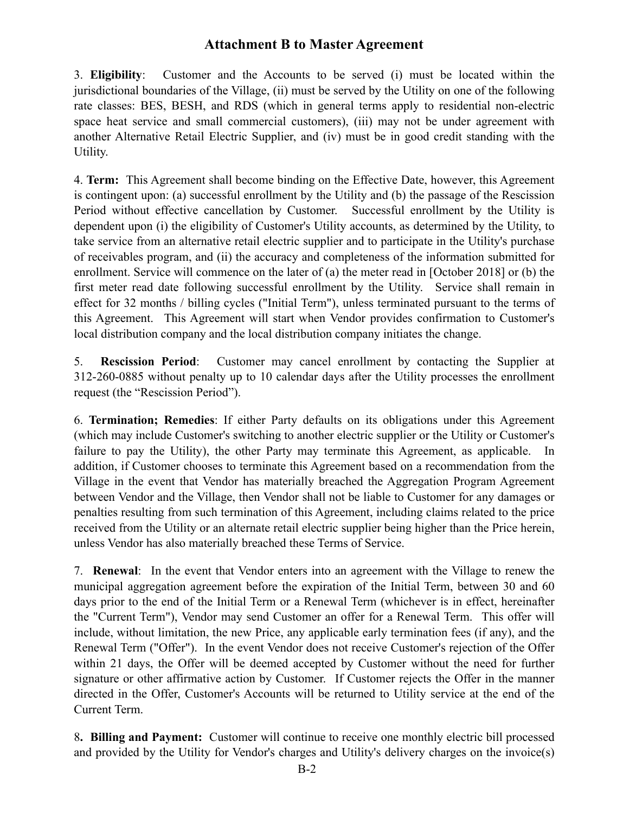3. **Eligibility**: Customer and the Accounts to be served (i) must be located within the jurisdictional boundaries of the Village, (ii) must be served by the Utility on one of the following rate classes: BES, BESH, and RDS (which in general terms apply to residential non-electric space heat service and small commercial customers), (iii) may not be under agreement with another Alternative Retail Electric Supplier, and (iv) must be in good credit standing with the Utility.

4. **Term:** This Agreement shall become binding on the Effective Date, however, this Agreement is contingent upon: (a) successful enrollment by the Utility and (b) the passage of the Rescission Period without effective cancellation by Customer. Successful enrollment by the Utility is dependent upon (i) the eligibility of Customer's Utility accounts, as determined by the Utility, to take service from an alternative retail electric supplier and to participate in the Utility's purchase of receivables program, and (ii) the accuracy and completeness of the information submitted for enrollment. Service will commence on the later of (a) the meter read in [October 2018] or (b) the first meter read date following successful enrollment by the Utility. Service shall remain in effect for 32 months / billing cycles ("Initial Term"), unless terminated pursuant to the terms of this Agreement. This Agreement will start when Vendor provides confirmation to Customer's local distribution company and the local distribution company initiates the change.

5. **Rescission Period**: Customer may cancel enrollment by contacting the Supplier at 312-260-0885 without penalty up to 10 calendar days after the Utility processes the enrollment request (the "Rescission Period").

6. **Termination; Remedies**: If either Party defaults on its obligations under this Agreement (which may include Customer's switching to another electric supplier or the Utility or Customer's failure to pay the Utility), the other Party may terminate this Agreement, as applicable. In addition, if Customer chooses to terminate this Agreement based on a recommendation from the Village in the event that Vendor has materially breached the Aggregation Program Agreement between Vendor and the Village, then Vendor shall not be liable to Customer for any damages or penalties resulting from such termination of this Agreement, including claims related to the price received from the Utility or an alternate retail electric supplier being higher than the Price herein, unless Vendor has also materially breached these Terms of Service.

7. **Renewal**: In the event that Vendor enters into an agreement with the Village to renew the municipal aggregation agreement before the expiration of the Initial Term, between 30 and 60 days prior to the end of the Initial Term or a Renewal Term (whichever is in effect, hereinafter the "Current Term"), Vendor may send Customer an offer for a Renewal Term. This offer will include, without limitation, the new Price, any applicable early termination fees (if any), and the Renewal Term ("Offer"). In the event Vendor does not receive Customer's rejection of the Offer within 21 days, the Offer will be deemed accepted by Customer without the need for further signature or other affirmative action by Customer. If Customer rejects the Offer in the manner directed in the Offer, Customer's Accounts will be returned to Utility service at the end of the Current Term.

8**. Billing and Payment:** Customer will continue to receive one monthly electric bill processed and provided by the Utility for Vendor's charges and Utility's delivery charges on the invoice(s)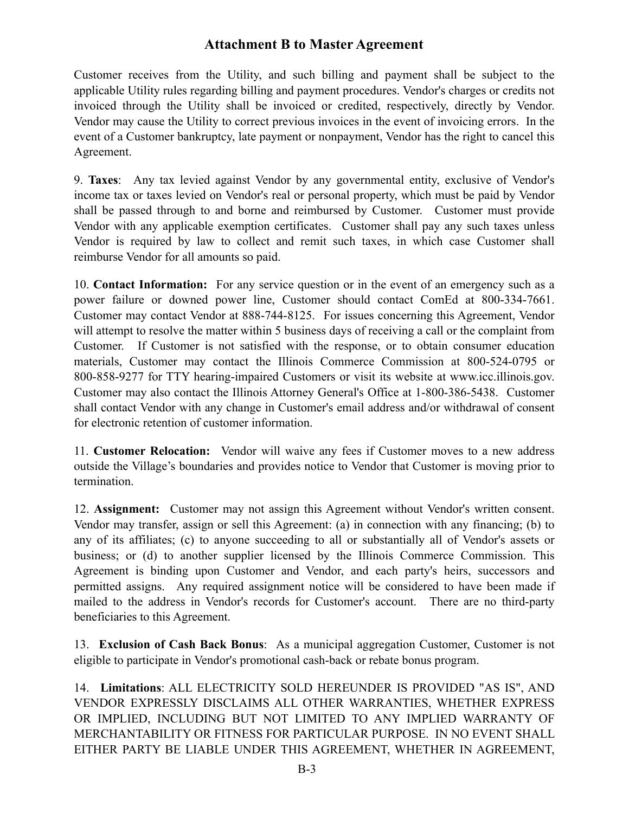Customer receives from the Utility, and such billing and payment shall be subject to the applicable Utility rules regarding billing and payment procedures. Vendor's charges or credits not invoiced through the Utility shall be invoiced or credited, respectively, directly by Vendor. Vendor may cause the Utility to correct previous invoices in the event of invoicing errors. In the event of a Customer bankruptcy, late payment or nonpayment, Vendor has the right to cancel this Agreement.

9. **Taxes**: Any tax levied against Vendor by any governmental entity, exclusive of Vendor's income tax or taxes levied on Vendor's real or personal property, which must be paid by Vendor shall be passed through to and borne and reimbursed by Customer. Customer must provide Vendor with any applicable exemption certificates. Customer shall pay any such taxes unless Vendor is required by law to collect and remit such taxes, in which case Customer shall reimburse Vendor for all amounts so paid.

10. **Contact Information:** For any service question or in the event of an emergency such as a power failure or downed power line, Customer should contact ComEd at 800-334-7661. Customer may contact Vendor at 888-744-8125. For issues concerning this Agreement, Vendor will attempt to resolve the matter within 5 business days of receiving a call or the complaint from Customer. If Customer is not satisfied with the response, or to obtain consumer education materials, Customer may contact the Illinois Commerce Commission at 800-524-0795 or 800-858-9277 for TTY hearing-impaired Customers or visit its website at www.icc.illinois.gov. Customer may also contact the Illinois Attorney General's Office at 1-800-386-5438. Customer shall contact Vendor with any change in Customer's email address and/or withdrawal of consent for electronic retention of customer information.

11. **Customer Relocation:** Vendor will waive any fees if Customer moves to a new address outside the Village's boundaries and provides notice to Vendor that Customer is moving prior to termination.

12. **Assignment:** Customer may not assign this Agreement without Vendor's written consent. Vendor may transfer, assign or sell this Agreement: (a) in connection with any financing; (b) to any of its affiliates; (c) to anyone succeeding to all or substantially all of Vendor's assets or business; or (d) to another supplier licensed by the Illinois Commerce Commission. This Agreement is binding upon Customer and Vendor, and each party's heirs, successors and permitted assigns. Any required assignment notice will be considered to have been made if mailed to the address in Vendor's records for Customer's account. There are no third-party beneficiaries to this Agreement.

13. **Exclusion of Cash Back Bonus**: As a municipal aggregation Customer, Customer is not eligible to participate in Vendor's promotional cash-back or rebate bonus program.

14. **Limitations**: ALL ELECTRICITY SOLD HEREUNDER IS PROVIDED "AS IS", AND VENDOR EXPRESSLY DISCLAIMS ALL OTHER WARRANTIES, WHETHER EXPRESS OR IMPLIED, INCLUDING BUT NOT LIMITED TO ANY IMPLIED WARRANTY OF MERCHANTABILITY OR FITNESS FOR PARTICULAR PURPOSE. IN NO EVENT SHALL EITHER PARTY BE LIABLE UNDER THIS AGREEMENT, WHETHER IN AGREEMENT,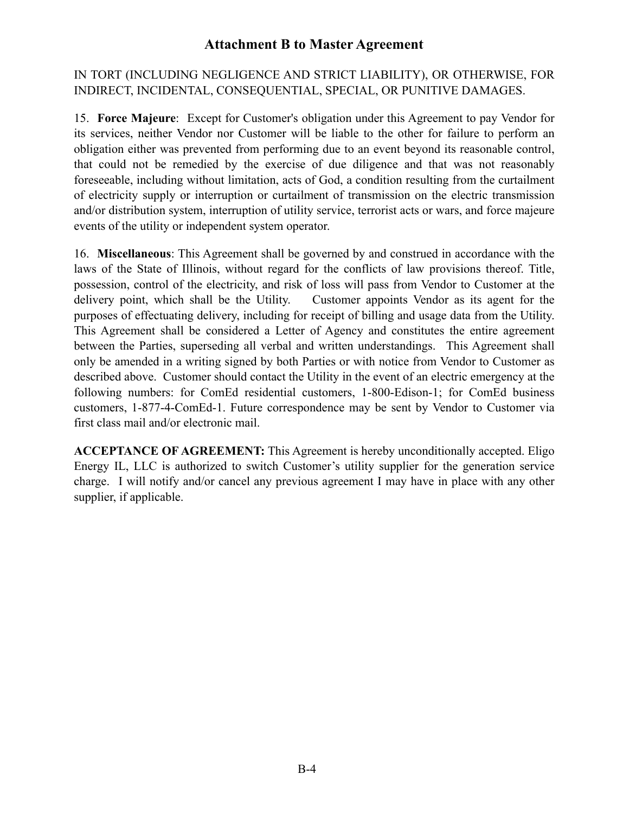# IN TORT (INCLUDING NEGLIGENCE AND STRICT LIABILITY), OR OTHERWISE, FOR INDIRECT, INCIDENTAL, CONSEQUENTIAL, SPECIAL, OR PUNITIVE DAMAGES.

15. **Force Majeure**: Except for Customer's obligation under this Agreement to pay Vendor for its services, neither Vendor nor Customer will be liable to the other for failure to perform an obligation either was prevented from performing due to an event beyond its reasonable control, that could not be remedied by the exercise of due diligence and that was not reasonably foreseeable, including without limitation, acts of God, a condition resulting from the curtailment of electricity supply or interruption or curtailment of transmission on the electric transmission and/or distribution system, interruption of utility service, terrorist acts or wars, and force majeure events of the utility or independent system operator.

16. **Miscellaneous**: This Agreement shall be governed by and construed in accordance with the laws of the State of Illinois, without regard for the conflicts of law provisions thereof. Title, possession, control of the electricity, and risk of loss will pass from Vendor to Customer at the delivery point, which shall be the Utility. Customer appoints Vendor as its agent for the purposes of effectuating delivery, including for receipt of billing and usage data from the Utility. This Agreement shall be considered a Letter of Agency and constitutes the entire agreement between the Parties, superseding all verbal and written understandings. This Agreement shall only be amended in a writing signed by both Parties or with notice from Vendor to Customer as described above. Customer should contact the Utility in the event of an electric emergency at the following numbers: for ComEd residential customers, 1-800-Edison-1; for ComEd business customers, 1-877-4-ComEd-1. Future correspondence may be sent by Vendor to Customer via first class mail and/or electronic mail.

**ACCEPTANCE OF AGREEMENT:** This Agreement is hereby unconditionally accepted. Eligo Energy IL, LLC is authorized to switch Customer's utility supplier for the generation service charge. I will notify and/or cancel any previous agreement I may have in place with any other supplier, if applicable.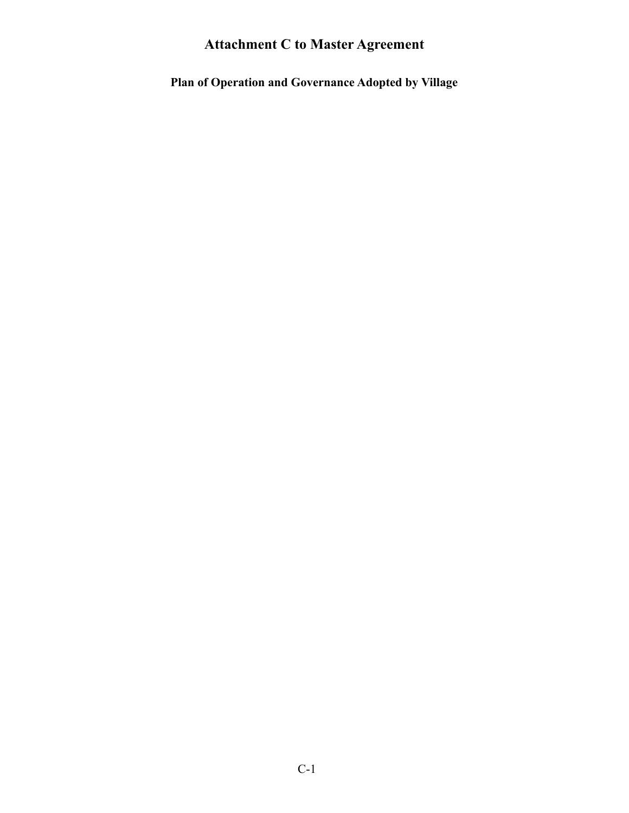**Plan of Operation and Governance Adopted by Village**